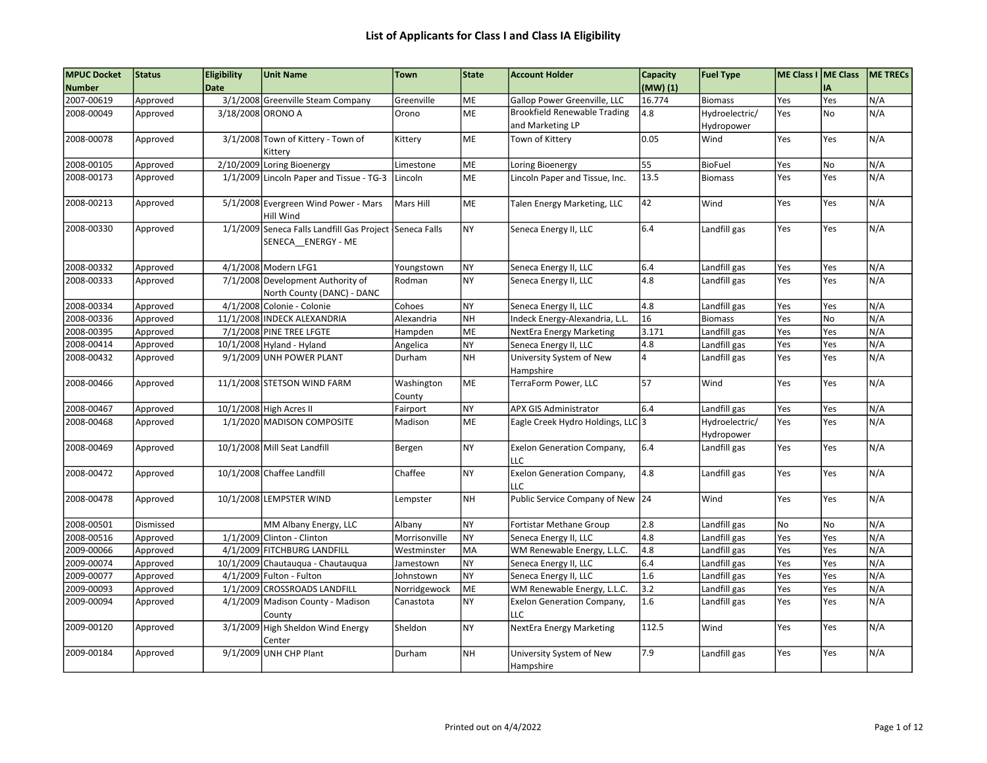| <b>MPUC Docket</b> | <b>Status</b> | <b>Eligibility</b> | <b>Unit Name</b>                                                              | <b>Town</b>          | State     | <b>Account Holder</b>                                   | Capacity | <b>Fuel Type</b>             | ME Class I ME Class |            | <b>ME TRECS</b> |
|--------------------|---------------|--------------------|-------------------------------------------------------------------------------|----------------------|-----------|---------------------------------------------------------|----------|------------------------------|---------------------|------------|-----------------|
| <b>Number</b>      |               | <b>Date</b>        |                                                                               |                      |           |                                                         | (MW) (1) |                              |                     | I٨         |                 |
| 2007-00619         | Approved      |                    | 3/1/2008 Greenville Steam Company                                             | Greenville           | ME        | Gallop Power Greenville, LLC                            | 16.774   | <b>Biomass</b>               | Yes                 | Yes        | N/A             |
| 2008-00049         | Approved      | 3/18/2008 ORONO A  |                                                                               | Orono                | <b>ME</b> | <b>Brookfield Renewable Trading</b><br>and Marketing LP | 4.8      | Hydroelectric/<br>Hydropower | Yes                 | <b>No</b>  | N/A             |
| 2008-00078         | Approved      |                    | 3/1/2008 Town of Kittery - Town of<br>Kitterv                                 | Kittery              | ME        | Town of Kittery                                         | 0.05     | Wind                         | Yes                 | Yes        | N/A             |
| 2008-00105         | Approved      |                    | 2/10/2009 Loring Bioenergy                                                    | Limestone            | ME        | Loring Bioenergy                                        | 55       | <b>BioFuel</b>               | Yes                 | No         | N/A             |
| 2008-00173         | Approved      |                    | 1/1/2009 Lincoln Paper and Tissue - TG-3                                      | Lincoln              | ME        | Lincoln Paper and Tissue, Inc.                          | 13.5     | <b>Biomass</b>               | Yes                 | Yes        | N/A             |
| 2008-00213         | Approved      |                    | 5/1/2008 Evergreen Wind Power - Mars<br>Hill Wind                             | Mars Hill            | ME        | Talen Energy Marketing, LLC                             | 42       | Wind                         | Yes                 | Yes        | N/A             |
| 2008-00330         | Approved      |                    | 1/1/2009 Seneca Falls Landfill Gas Project Seneca Falls<br>SENECA ENERGY - ME |                      | <b>NY</b> | Seneca Energy II, LLC                                   | 6.4      | Landfill gas                 | Yes                 | Yes        | N/A             |
| 2008-00332         | Approved      |                    | 4/1/2008 Modern LFG1                                                          | Youngstown           | <b>NY</b> | Seneca Energy II, LLC                                   | 6.4      | Landfill gas                 | Yes                 | Yes        | N/A             |
| 2008-00333         | Approved      |                    | 7/1/2008 Development Authority of<br>North County (DANC) - DANC               | Rodman               | <b>NY</b> | Seneca Energy II, LLC                                   | 4.8      | Landfill gas                 | Yes                 | Yes        | N/A             |
| 2008-00334         | Approved      |                    | 4/1/2008 Colonie - Colonie                                                    | Cohoes               | <b>NY</b> | Seneca Energy II, LLC                                   | 4.8      | Landfill gas                 | Yes                 | <b>Yes</b> | N/A             |
| 2008-00336         | Approved      |                    | 11/1/2008 INDECK ALEXANDRIA                                                   | Alexandria           | <b>NH</b> | Indeck Energy-Alexandria, L.L.                          | 16       | <b>Biomass</b>               | Yes                 | No.        | N/A             |
| 2008-00395         | Approved      |                    | 7/1/2008 PINE TREE LFGTE                                                      | Hampden              | ME        | NextEra Energy Marketing                                | 3.171    | Landfill gas                 | Yes                 | Yes        | N/A             |
| 2008-00414         | Approved      |                    | 10/1/2008 Hyland - Hyland                                                     | Angelica             | <b>NY</b> | Seneca Energy II, LLC                                   | 4.8      | Landfill gas                 | Yes                 | Yes        | N/A             |
| 2008-00432         | Approved      |                    | 9/1/2009 UNH POWER PLANT                                                      | Durham               | <b>NH</b> | University System of New<br>Hampshire                   |          | Landfill gas                 | Yes                 | Yes        | N/A             |
| 2008-00466         | Approved      |                    | 11/1/2008 STETSON WIND FARM                                                   | Washington<br>County | ME        | TerraForm Power, LLC                                    | 57       | Wind                         | Yes                 | Yes        | N/A             |
| 2008-00467         | Approved      |                    | 10/1/2008 High Acres II                                                       | Fairport             | <b>NY</b> | <b>APX GIS Administrator</b>                            | 6.4      | Landfill gas                 | Yes                 | Yes        | N/A             |
| 2008-00468         | Approved      |                    | 1/1/2020 MADISON COMPOSITE                                                    | Madison              | <b>ME</b> | Eagle Creek Hydro Holdings, LLC 3                       |          | Hydroelectric/<br>Hydropower | Yes                 | Yes        | N/A             |
| 2008-00469         | Approved      |                    | 10/1/2008 Mill Seat Landfill                                                  | Bergen               | <b>NY</b> | <b>Exelon Generation Company,</b><br>LLC                | 6.4      | Landfill gas                 | Yes                 | Yes        | N/A             |
| 2008-00472         | Approved      |                    | 10/1/2008 Chaffee Landfill                                                    | Chaffee              | <b>NY</b> | <b>Exelon Generation Company,</b><br>LLC                | 4.8      | Landfill gas                 | Yes                 | Yes        | N/A             |
| 2008-00478         | Approved      |                    | 10/1/2008 LEMPSTER WIND                                                       | Lempster             | <b>NH</b> | Public Service Company of New 24                        |          | Wind                         | Yes                 | Yes        | N/A             |
| 2008-00501         | Dismissed     |                    | MM Albany Energy, LLC                                                         | Albany               | <b>NY</b> | Fortistar Methane Group                                 | 2.8      | Landfill gas                 | <b>No</b>           | <b>No</b>  | N/A             |
| 2008-00516         | Approved      |                    | 1/1/2009 Clinton - Clinton                                                    | Morrisonville        | <b>NY</b> | Seneca Energy II, LLC                                   | 4.8      | Landfill gas                 | Yes                 | Yes        | N/A             |
| 2009-00066         | Approved      |                    | 4/1/2009 FITCHBURG LANDFILL                                                   | Westminster          | MA        | WM Renewable Energy, L.L.C.                             | 4.8      | Landfill gas                 | Yes                 | Yes        | N/A             |
| 2009-00074         | Approved      |                    | 10/1/2009 Chautauqua - Chautauqua                                             | Jamestown            | <b>NY</b> | Seneca Energy II, LLC                                   | 6.4      | Landfill gas                 | Yes                 | Yes        | N/A             |
| 2009-00077         | Approved      |                    | 4/1/2009 Fulton - Fulton                                                      | Johnstown            | <b>NY</b> | Seneca Energy II, LLC                                   | 1.6      | Landfill gas                 | Yes                 | Yes        | N/A             |
| 2009-00093         | Approved      |                    | 1/1/2009 CROSSROADS LANDFILL                                                  | Norridgewock         | ME        | WM Renewable Energy, L.L.C.                             | 3.2      | Landfill gas                 | Yes                 | Yes        | N/A             |
| 2009-00094         | Approved      |                    | 4/1/2009 Madison County - Madison<br>County                                   | Canastota            | <b>NY</b> | <b>Exelon Generation Company,</b><br>LLC                | 1.6      | Landfill gas                 | Yes                 | Yes        | N/A             |
| 2009-00120         | Approved      |                    | 3/1/2009 High Sheldon Wind Energy<br>Center                                   | Sheldon              | <b>NY</b> | NextEra Energy Marketing                                | 112.5    | Wind                         | Yes                 | Yes        | N/A             |
| 2009-00184         | Approved      |                    | 9/1/2009 UNH CHP Plant                                                        | Durham               | <b>NH</b> | University System of New<br>Hampshire                   | 7.9      | Landfill gas                 | Yes                 | Yes        | N/A             |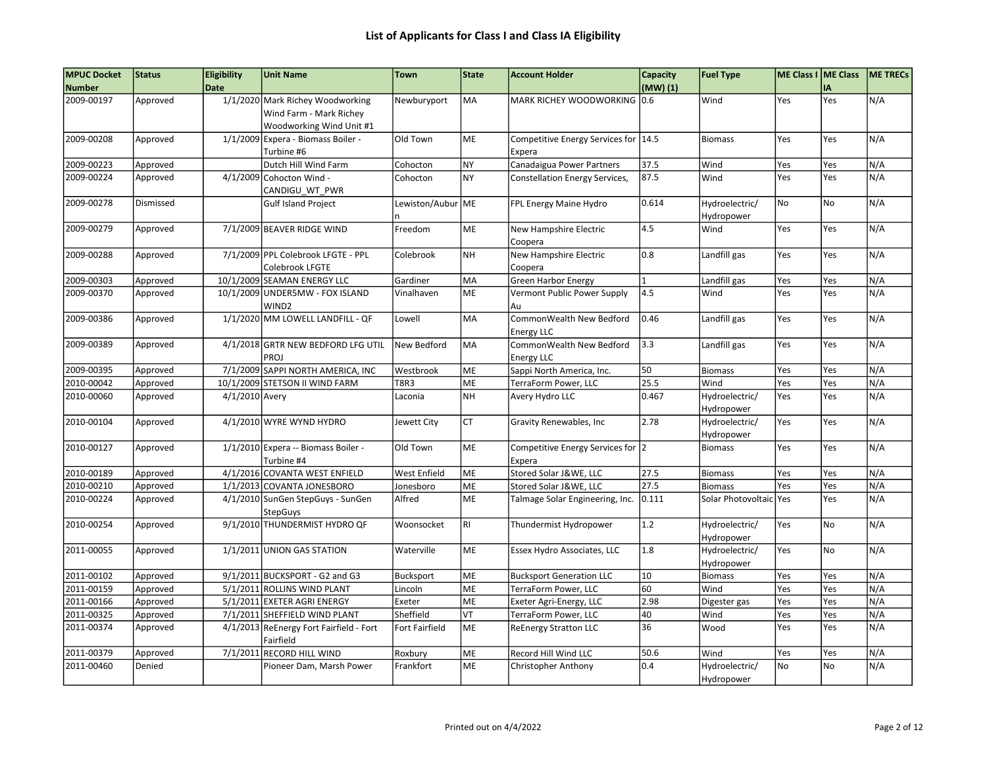| <b>MPUC Docket</b> | Status    | <b>Eligibility</b> | <b>Unit Name</b>                        | <b>Town</b>           | State     | <b>Account Holder</b>                | Capacity       | <b>Fuel Type</b>   | ME Class I ME Class |     | <b>ME TRECS</b> |
|--------------------|-----------|--------------------|-----------------------------------------|-----------------------|-----------|--------------------------------------|----------------|--------------------|---------------------|-----|-----------------|
| <b>Number</b>      |           | <b>Date</b>        |                                         |                       |           |                                      | (MW)(1)        |                    |                     | IA  |                 |
| 2009-00197         | Approved  |                    | 1/1/2020 Mark Richey Woodworking        | Newburyport           | <b>MA</b> | MARK RICHEY WOODWORKING              | 0.6            | Wind               | Yes                 | Yes | N/A             |
|                    |           |                    | Wind Farm - Mark Richey                 |                       |           |                                      |                |                    |                     |     |                 |
|                    |           |                    | Woodworking Wind Unit #1                |                       |           |                                      |                |                    |                     |     |                 |
| 2009-00208         | Approved  |                    | 1/1/2009 Expera - Biomass Boiler -      | Old Town              | <b>ME</b> | Competitive Energy Services for 14.5 |                | <b>Biomass</b>     | Yes                 | Yes | N/A             |
|                    |           |                    | Turbine #6                              |                       |           | Expera                               |                |                    |                     |     |                 |
| 2009-00223         | Approved  |                    | Dutch Hill Wind Farm                    | Cohocton              | <b>NY</b> | Canadaigua Power Partners            | 37.5           | Wind               | Yes                 | Yes | N/A             |
| 2009-00224         | Approved  | 4/1/2009           | Cohocton Wind -                         | Cohocton              | <b>NY</b> | Constellation Energy Services,       | 87.5           | Wind               | Yes                 | Yes | N/A             |
|                    |           |                    | CANDIGU WT PWR                          |                       |           |                                      |                |                    |                     |     |                 |
| 2009-00278         | Dismissed |                    | <b>Gulf Island Project</b>              | Lewiston/Aubur ME     |           | FPL Energy Maine Hydro               | 0.614          | Hydroelectric/     | <b>No</b>           | No  | N/A             |
|                    |           |                    |                                         |                       |           |                                      |                | Hydropower         |                     |     |                 |
| 2009-00279         | Approved  |                    | 7/1/2009 BEAVER RIDGE WIND              | Freedom               | <b>ME</b> | New Hampshire Electric               | 4.5            | Wind               | Yes                 | Yes | N/A             |
|                    |           |                    |                                         |                       |           | Coopera                              |                |                    |                     |     |                 |
| 2009-00288         | Approved  |                    | 7/1/2009 PPL Colebrook LFGTE - PPL      | Colebrook             | <b>NH</b> | New Hampshire Electric               | 0.8            | Landfill gas       | Yes                 | Yes | N/A             |
|                    |           |                    | Colebrook LFGTE                         |                       |           | Coopera                              |                |                    |                     |     |                 |
| 2009-00303         | Approved  |                    | 10/1/2009 SEAMAN ENERGY LLC             | Gardiner              | MA        | Green Harbor Energy                  | $\overline{1}$ | Landfill gas       | Yes                 | Yes | N/A             |
| 2009-00370         | Approved  |                    | 10/1/2009 UNDER5MW - FOX ISLAND         | Vinalhaven            | <b>ME</b> | Vermont Public Power Supply          | 4.5            | Wind               | Yes                 | Yes | N/A             |
|                    |           |                    | WIND <sub>2</sub>                       |                       |           | Au                                   |                |                    |                     |     |                 |
| 2009-00386         | Approved  |                    | 1/1/2020 MM LOWELL LANDFILL - QF        | Lowell                | MA        | CommonWealth New Bedford             | 0.46           | Landfill gas       | Yes                 | Yes | N/A             |
|                    |           |                    |                                         |                       |           | <b>Energy LLC</b>                    |                |                    |                     |     |                 |
| 2009-00389         | Approved  |                    | 4/1/2018 GRTR NEW BEDFORD LFG UTIL      | New Bedford           | lma       | CommonWealth New Bedford             | 3.3            | Landfill gas       | Yes                 | Yes | N/A             |
|                    |           |                    | PROJ                                    |                       |           | <b>Energy LLC</b>                    |                |                    |                     |     |                 |
| 2009-00395         | Approved  |                    | 7/1/2009 SAPPI NORTH AMERICA, INC       | Westbrook             | ME        | Sappi North America, Inc.            | 50             | <b>Biomass</b>     | Yes                 | Yes | N/A             |
| 2010-00042         | Approved  |                    | 10/1/2009 STETSON II WIND FARM          | <b>T8R3</b>           | ME        | <b>TerraForm Power, LLC</b>          | 25.5           | Wind               | Yes                 | Yes | N/A             |
| 2010-00060         | Approved  | 4/1/2010 Avery     |                                         | Laconia               | <b>NH</b> | Avery Hydro LLC                      | 0.467          | Hydroelectric/     | Yes                 | Yes | N/A             |
|                    |           |                    |                                         |                       |           |                                      |                | Hydropower         |                     |     |                 |
| 2010-00104         | Approved  |                    | 4/1/2010 WYRE WYND HYDRO                | Jewett City           | <b>CT</b> | Gravity Renewables, Inc              | 2.78           | Hydroelectric/     | Yes                 | Yes | N/A             |
|                    |           |                    |                                         |                       |           |                                      |                | Hydropower         |                     |     |                 |
| 2010-00127         | Approved  |                    | 1/1/2010 Expera -- Biomass Boiler -     | Old Town              | <b>ME</b> | Competitive Energy Services for 2    |                | <b>Biomass</b>     | Yes                 | Yes | N/A             |
|                    |           |                    | Turbine #4                              |                       |           | Expera                               |                |                    |                     |     |                 |
| 2010-00189         | Approved  |                    | 4/1/2016 COVANTA WEST ENFIELD           | West Enfield          | ME        | Stored Solar J&WE, LLC               | 27.5           | <b>Biomass</b>     | Yes                 | Yes | N/A             |
| 2010-00210         | Approved  |                    | 1/1/2013 COVANTA JONESBORO              | Jonesboro             | ME        | Stored Solar J&WE, LLC               | 27.5           | <b>Biomass</b>     | Yes                 | Yes | N/A             |
| 2010-00224         | Approved  |                    | 4/1/2010 SunGen StepGuys - SunGen       | Alfred                | ME        | Talmage Solar Engineering, Inc.      | 0.111          | Solar Photovoltaic | Yes                 | Yes | N/A             |
|                    |           |                    | <b>StepGuys</b>                         |                       |           |                                      |                |                    |                     |     |                 |
| 2010-00254         | Approved  |                    | 9/1/2010 THUNDERMIST HYDRO QF           | Woonsocket            | l RI      | Thundermist Hydropower               | 1.2            | Hydroelectric/     | Yes                 | No  | N/A             |
|                    |           |                    |                                         |                       |           |                                      |                | Hydropower         |                     |     |                 |
| 2011-00055         | Approved  |                    | 1/1/2011 UNION GAS STATION              | Waterville            | ME        | Essex Hydro Associates, LLC          | 1.8            | Hydroelectric/     | Yes                 | No  | N/A             |
|                    |           |                    |                                         |                       |           |                                      |                | Hydropower         |                     |     |                 |
| 2011-00102         | Approved  |                    | 9/1/2011 BUCKSPORT - G2 and G3          | Bucksport             | ME        | <b>Bucksport Generation LLC</b>      | 10             | <b>Biomass</b>     | Yes                 | Yes | N/A             |
| 2011-00159         | Approved  |                    | 5/1/2011 ROLLINS WIND PLANT             | Lincoln               | ME        | TerraForm Power, LLC                 | 60             | Wind               | Yes                 | Yes | N/A             |
| 2011-00166         | Approved  |                    | 5/1/2011 EXETER AGRI ENERGY             | Exeter                | ME        | Exeter Agri-Energy, LLC              | 2.98           | Digester gas       | Yes                 | Yes | N/A             |
| 2011-00325         | Approved  |                    | 7/1/2011 SHEFFIELD WIND PLANT           | Sheffield             | VT        | TerraForm Power, LLC                 | 40             | Wind               | Yes                 | Yes | N/A             |
| 2011-00374         | Approved  |                    | 4/1/2013 ReEnergy Fort Fairfield - Fort | <b>Fort Fairfield</b> | <b>ME</b> | <b>ReEnergy Stratton LLC</b>         | 36             | Wood               | Yes                 | Yes | N/A             |
|                    |           |                    | Fairfield                               |                       |           |                                      |                |                    |                     |     |                 |
| 2011-00379         | Approved  | 7/1/2011           | <b>RECORD HILL WIND</b>                 | Roxbury               | ME        | Record Hill Wind LLC                 | 50.6           | Wind               | Yes                 | Yes | N/A             |
| 2011-00460         | Denied    |                    | Pioneer Dam, Marsh Power                | Frankfort             | <b>ME</b> | Christopher Anthony                  | 0.4            | Hydroelectric/     | No                  | No  | N/A             |
|                    |           |                    |                                         |                       |           |                                      |                | Hydropower         |                     |     |                 |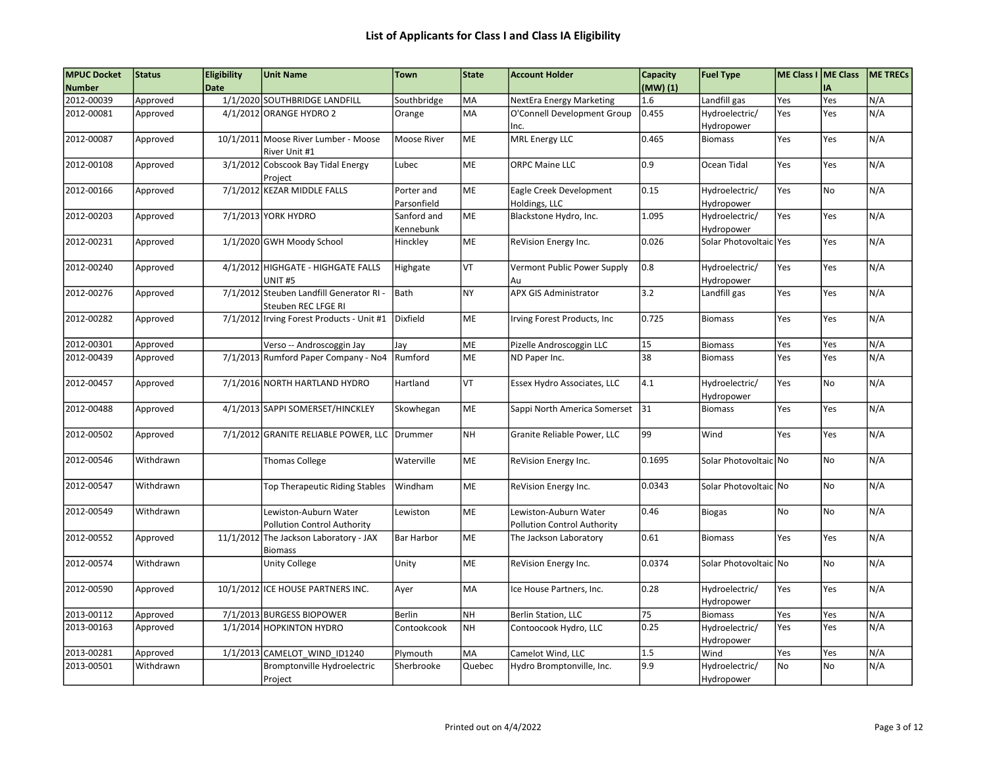| <b>MPUC Docket</b><br><b>Number</b> | <b>Status</b>        | <b>Eligibility</b><br><b>Date</b> | <b>Unit Name</b>                             | <b>Town</b>        | State     | <b>Account Holder</b>                                   | Capacity<br>$(MW)$ $(1)$ | <b>Fuel Type</b>               | ME Class I ME Class | IΑ             | ME TRECS |
|-------------------------------------|----------------------|-----------------------------------|----------------------------------------------|--------------------|-----------|---------------------------------------------------------|--------------------------|--------------------------------|---------------------|----------------|----------|
| 2012-00039                          |                      |                                   | 1/1/2020 SOUTHBRIDGE LANDFILL                |                    | MA        |                                                         | 1.6                      |                                | Yes                 | Yes            | N/A      |
| 2012-00081                          | Approved<br>Approved |                                   | 4/1/2012 ORANGE HYDRO 2                      | Southbridge        | MA        | NextEra Energy Marketing<br>O'Connell Development Group | 0.455                    | Landfill gas<br>Hydroelectric/ | Yes                 | Yes            | N/A      |
|                                     |                      |                                   |                                              | Orange             |           | Inc.                                                    |                          | Hydropower                     |                     |                |          |
| 2012-00087                          | Approved             |                                   | 10/1/2011 Moose River Lumber - Moose         | <b>Moose River</b> | ME        | <b>MRL Energy LLC</b>                                   | 0.465                    | <b>Biomass</b>                 | Yes                 | Yes            | N/A      |
|                                     |                      |                                   | River Unit #1                                |                    |           |                                                         |                          |                                |                     |                |          |
| 2012-00108                          | Approved             |                                   | 3/1/2012 Cobscook Bay Tidal Energy           | Lubec              | <b>ME</b> | <b>ORPC Maine LLC</b>                                   | 0.9                      | Ocean Tidal                    | Yes                 | Yes            | N/A      |
|                                     |                      |                                   | Project                                      |                    |           |                                                         |                          |                                |                     |                |          |
| 2012-00166                          | Approved             |                                   | 7/1/2012 KEZAR MIDDLE FALLS                  | Porter and         | ME        | Eagle Creek Development                                 | 0.15                     | Hydroelectric/                 | Yes                 | No             | N/A      |
|                                     |                      |                                   |                                              | Parsonfield        |           | Holdings, LLC                                           |                          | Hydropower                     |                     |                |          |
| 2012-00203                          | Approved             |                                   | 7/1/2013 YORK HYDRO                          | Sanford and        | ME        | Blackstone Hydro, Inc.                                  | 1.095                    | Hydroelectric/                 | Yes                 | Yes            | N/A      |
|                                     |                      |                                   |                                              | Kennebunk          |           |                                                         |                          | Hydropower                     |                     |                |          |
| 2012-00231                          | Approved             |                                   | 1/1/2020 GWH Moody School                    | Hinckley           | <b>ME</b> | ReVision Energy Inc.                                    | 0.026                    | Solar Photovoltaic   Yes       |                     | Yes            | N/A      |
|                                     |                      |                                   |                                              |                    |           |                                                         |                          |                                |                     |                |          |
| 2012-00240                          | Approved             |                                   | 4/1/2012 HIGHGATE - HIGHGATE FALLS           | Highgate           | VT        | Vermont Public Power Supply                             | 0.8                      | Hydroelectric/                 | Yes                 | Yes            | N/A      |
|                                     |                      |                                   | UNIT #5                                      |                    |           | Au                                                      |                          | Hydropower                     |                     |                |          |
| 2012-00276                          | Approved             |                                   | 7/1/2012 Steuben Landfill Generator RI -     | Bath               | <b>NY</b> | <b>APX GIS Administrator</b>                            | 3.2                      | Landfill gas                   | Yes                 | Yes            | N/A      |
|                                     |                      |                                   | Steuben REC LFGE RI                          |                    |           |                                                         |                          |                                |                     |                |          |
| 2012-00282                          | Approved             |                                   | 7/1/2012 Irving Forest Products - Unit #1    | Dixfield           | ME        | Irving Forest Products, Inc                             | 0.725                    | <b>Biomass</b>                 | Yes                 | Yes            | N/A      |
|                                     |                      |                                   |                                              |                    |           |                                                         |                          |                                |                     |                |          |
| 2012-00301                          | Approved             |                                   | Verso -- Androscoggin Jay                    | Jay                | ME        | Pizelle Androscoggin LLC                                | 15                       | <b>Biomass</b>                 | Yes                 | Yes            | N/A      |
| 2012-00439                          | Approved             |                                   | 7/1/2013 Rumford Paper Company - No4         | Rumford            | ME        | ND Paper Inc.                                           | 38                       | <b>Biomass</b>                 | Yes                 | Yes            | N/A      |
|                                     |                      |                                   |                                              |                    |           |                                                         |                          |                                |                     |                |          |
| 2012-00457                          | Approved             |                                   | 7/1/2016 NORTH HARTLAND HYDRO                | Hartland           | VT        | Essex Hydro Associates, LLC                             | 4.1                      | Hydroelectric/                 | Yes                 | No             | N/A      |
|                                     |                      |                                   |                                              |                    |           |                                                         |                          | Hydropower                     |                     |                |          |
| 2012-00488                          | Approved             |                                   | 4/1/2013 SAPPI SOMERSET/HINCKLEY             | Skowhegan          | ME        | Sappi North America Somerset                            | 31                       | <b>Biomass</b>                 | Yes                 | Yes            | N/A      |
|                                     |                      |                                   |                                              |                    |           |                                                         |                          |                                |                     |                |          |
| 2012-00502                          | Approved             |                                   | 7/1/2012 GRANITE RELIABLE POWER, LLC Drummer |                    | <b>NH</b> | Granite Reliable Power, LLC                             | 99                       | Wind                           | Yes                 | Yes            | N/A      |
|                                     |                      |                                   |                                              |                    |           |                                                         |                          |                                |                     |                |          |
| 2012-00546                          | Withdrawn            |                                   | <b>Thomas College</b>                        | Waterville         | ME        | ReVision Energy Inc.                                    | 0.1695                   | Solar Photovoltaic No          |                     | No             | N/A      |
|                                     |                      |                                   |                                              |                    |           |                                                         |                          |                                |                     |                |          |
| 2012-00547                          | Withdrawn            |                                   | <b>Top Therapeutic Riding Stables</b>        | Windham            | ME        | ReVision Energy Inc.                                    | 0.0343                   | Solar Photovoltaic No          |                     | No             | N/A      |
|                                     |                      |                                   |                                              |                    |           |                                                         |                          |                                |                     |                |          |
| 2012-00549                          | Withdrawn            |                                   | Lewiston-Auburn Water                        | Lewiston           | ME        | Lewiston-Auburn Water                                   | 0.46                     | <b>Biogas</b>                  | <b>No</b>           | No             | N/A      |
|                                     |                      |                                   | <b>Pollution Control Authority</b>           |                    |           | <b>Pollution Control Authority</b>                      |                          |                                |                     |                |          |
| 2012-00552                          | Approved             |                                   | 11/1/2012 The Jackson Laboratory - JAX       | <b>Bar Harbor</b>  | ME        | The Jackson Laboratory                                  | 0.61                     | <b>Biomass</b>                 | Yes                 | Yes            | N/A      |
|                                     |                      |                                   | <b>Biomass</b>                               |                    |           |                                                         |                          |                                |                     |                |          |
| 2012-00574                          | Withdrawn            |                                   | <b>Unity College</b>                         | Unity              | ME        | ReVision Energy Inc.                                    | 0.0374                   | Solar Photovoltaic No          |                     | N <sub>o</sub> | N/A      |
|                                     |                      |                                   |                                              |                    |           |                                                         |                          |                                |                     |                |          |
| 2012-00590                          | Approved             |                                   | 10/1/2012 ICE HOUSE PARTNERS INC.            | Ayer               | MA        | Ice House Partners, Inc.                                | 0.28                     | Hydroelectric/                 | Yes                 | Yes            | N/A      |
|                                     |                      |                                   |                                              |                    |           |                                                         |                          | Hydropower                     |                     |                |          |
| 2013-00112                          | Approved             |                                   | 7/1/2013 BURGESS BIOPOWER                    | Berlin             | <b>NH</b> | Berlin Station, LLC                                     | 75                       | <b>Biomass</b>                 | Yes                 | Yes            | N/A      |
| 2013-00163                          | Approved             |                                   | 1/1/2014 HOPKINTON HYDRO                     | Contookcook        | <b>NH</b> | Contoocook Hydro, LLC                                   | 0.25                     | Hydroelectric/                 | Yes                 | Yes            | N/A      |
|                                     |                      |                                   |                                              |                    |           |                                                         |                          | Hydropower                     |                     |                |          |
| 2013-00281                          | Approved             |                                   | 1/1/2013 CAMELOT_WIND_ID1240                 | Plymouth           | MA        | Camelot Wind, LLC                                       | 1.5                      | Wind                           | Yes                 | Yes            | N/A      |
| 2013-00501                          | Withdrawn            |                                   | Bromptonville Hydroelectric                  | Sherbrooke         | Quebec    | Hydro Bromptonville, Inc.                               | 9.9                      | Hydroelectric/                 | No                  | No             | N/A      |
|                                     |                      |                                   | Project                                      |                    |           |                                                         |                          | Hydropower                     |                     |                |          |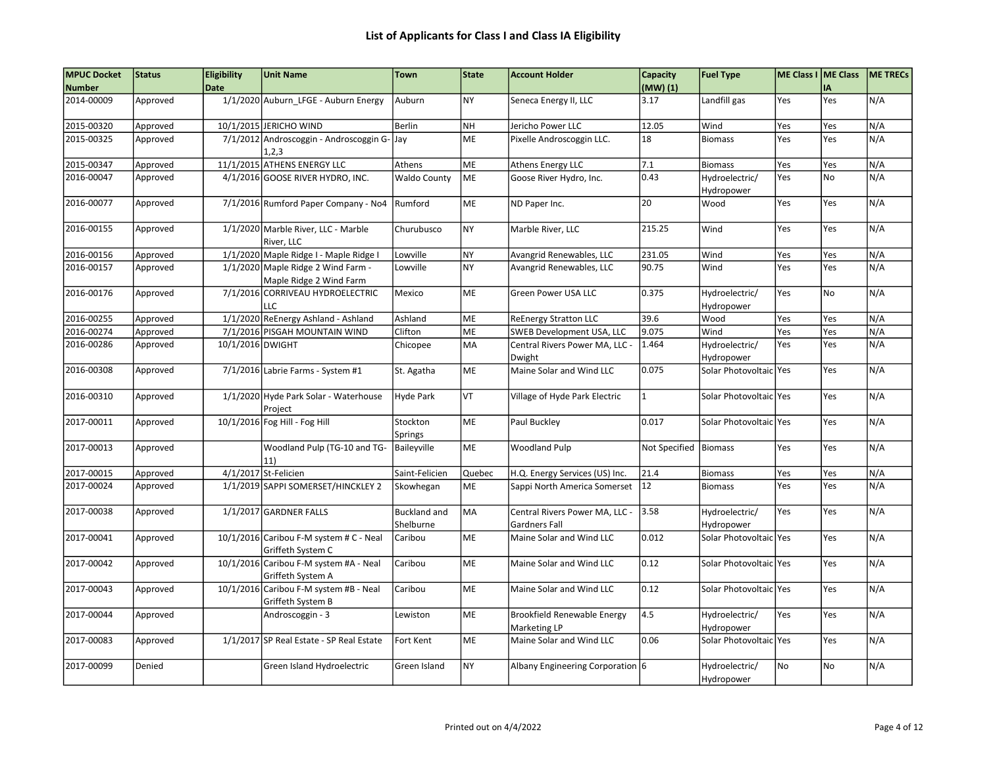## List of Applicants for Class I and Class IA Eligibility

| <b>MPUC Docket</b> | <b>Status</b> | <b>Eligibility</b> | <b>Unit Name</b>                                                | <b>Town</b>                      | State     | <b>Account Holder</b>                           | Capacity              | <b>Fuel Type</b>             | ME Class I   ME Class |     | <b>ME TRECS</b> |
|--------------------|---------------|--------------------|-----------------------------------------------------------------|----------------------------------|-----------|-------------------------------------------------|-----------------------|------------------------------|-----------------------|-----|-----------------|
| <b>Number</b>      |               | <b>Date</b>        |                                                                 |                                  |           |                                                 | (MW)(1)               |                              |                       | IA  |                 |
| 2014-00009         | Approved      |                    | 1/1/2020 Auburn LFGE - Auburn Energy                            | Auburn                           | <b>NY</b> | Seneca Energy II, LLC                           | 3.17                  | Landfill gas                 | Yes                   | Yes | N/A             |
| 2015-00320         | Approved      |                    | 10/1/2015 JERICHO WIND                                          | Berlin                           | <b>NH</b> | Jericho Power LLC                               | 12.05                 | Wind                         | Yes                   | Yes | N/A             |
| 2015-00325         | Approved      |                    | 7/1/2012 Androscoggin - Androscoggin G- Jay<br>1,2,3            |                                  | ME        | Pixelle Androscoggin LLC.                       | 18                    | <b>Biomass</b>               | Yes                   | Yes | N/A             |
| 2015-00347         | Approved      |                    | 11/1/2015 ATHENS ENERGY LLC                                     | Athens                           | ME        | Athens Energy LLC                               | 7.1                   | <b>Biomass</b>               | Yes                   | Yes | N/A             |
| 2016-00047         | Approved      |                    | 4/1/2016 GOOSE RIVER HYDRO, INC.                                | <b>Waldo County</b>              | ME        | Goose River Hydro, Inc.                         | 0.43                  | Hydroelectric/<br>Hydropower | Yes                   | No  | N/A             |
| 2016-00077         | Approved      |                    | 7/1/2016 Rumford Paper Company - No4                            | Rumford                          | ME        | ND Paper Inc.                                   | 20                    | Wood                         | Yes                   | Yes | N/A             |
| 2016-00155         | Approved      |                    | 1/1/2020 Marble River, LLC - Marble<br>River, LLC               | Churubusco                       | <b>NY</b> | Marble River, LLC                               | 215.25                | Wind                         | Yes                   | Yes | N/A             |
| 2016-00156         | Approved      |                    | 1/1/2020 Maple Ridge I - Maple Ridge I                          | Lowville                         | <b>NY</b> | Avangrid Renewables, LLC                        | 231.05                | Wind                         | Yes                   | Yes | N/A             |
| 2016-00157         | Approved      |                    | $1/1/2020$ Maple Ridge 2 Wind Farm -<br>Maple Ridge 2 Wind Farm | Lowville                         | <b>NY</b> | Avangrid Renewables, LLC                        | 90.75                 | Wind                         | Yes                   | Yes | N/A             |
| 2016-00176         | Approved      |                    | 7/1/2016 CORRIVEAU HYDROELECTRIC<br>LLC                         | Mexico                           | ME        | Green Power USA LLC                             | 0.375                 | Hydroelectric/<br>Hydropower | Yes                   | No  | N/A             |
| 2016-00255         | Approved      |                    | 1/1/2020 ReEnergy Ashland - Ashland                             | Ashland                          | ME        | <b>ReEnergy Stratton LLC</b>                    | 39.6                  | Wood                         | Yes                   | Yes | N/A             |
| 2016-00274         | Approved      |                    | 7/1/2016 PISGAH MOUNTAIN WIND                                   | Clifton                          | ME        | SWEB Development USA, LLC                       | 9.075                 | Wind                         | Yes                   | Yes | N/A             |
| 2016-00286         | Approved      | 10/1/2016 DWIGHT   |                                                                 | Chicopee                         | <b>MA</b> | Central Rivers Power MA, LLC -<br>Dwight        | 1.464                 | Hydroelectric/<br>Hydropower | Yes                   | Yes | N/A             |
| 2016-00308         | Approved      |                    | 7/1/2016 Labrie Farms - System #1                               | St. Agatha                       | ME        | Maine Solar and Wind LLC                        | 0.075                 | Solar Photovoltaic Yes       |                       | Yes | N/A             |
| 2016-00310         | Approved      |                    | 1/1/2020 Hyde Park Solar - Waterhouse<br>Project                | <b>Hyde Park</b>                 | VT        | Village of Hyde Park Electric                   | $\mathbf{1}$          | Solar Photovoltaic Yes       |                       | Yes | N/A             |
| 2017-00011         | Approved      |                    | 10/1/2016 Fog Hill - Fog Hill                                   | Stockton<br>Springs              | <b>ME</b> | Paul Buckley                                    | 0.017                 | Solar Photovoltaic   Yes     |                       | Yes | N/A             |
| 2017-00013         | Approved      |                    | Woodland Pulp (TG-10 and TG-<br>11)                             | Baileyville                      | ME        | <b>Woodland Pulp</b>                            | Not Specified Biomass |                              | Yes                   | Yes | N/A             |
| 2017-00015         | Approved      |                    | 4/1/2017 St-Felicien                                            | Saint-Felicien                   | Quebec    | H.Q. Energy Services (US) Inc.                  | 21.4                  | <b>Biomass</b>               | Yes                   | Yes | N/A             |
| 2017-00024         | Approved      |                    | 1/1/2019 SAPPI SOMERSET/HINCKLEY 2                              | Skowhegan                        | ME        | Sappi North America Somerset                    | 12                    | <b>Biomass</b>               | Yes                   | Yes | N/A             |
| 2017-00038         | Approved      |                    | 1/1/2017 GARDNER FALLS                                          | <b>Buckland and</b><br>Shelburne | MA        | Central Rivers Power MA, LLC -<br>Gardners Fall | 3.58                  | Hydroelectric/<br>Hydropower | Yes                   | Yes | N/A             |
| 2017-00041         | Approved      |                    | $10/1/2016$ Caribou F-M system # C - Neal<br>Griffeth System C  | Caribou                          | ME        | Maine Solar and Wind LLC                        | 0.012                 | Solar Photovoltaic Yes       |                       | Yes | N/A             |
| 2017-00042         | Approved      |                    | 10/1/2016 Caribou F-M system #A - Neal<br>Griffeth System A     | Caribou                          | ME        | Maine Solar and Wind LLC                        | 0.12                  | Solar Photovoltaic Yes       |                       | Yes | N/A             |
| 2017-00043         | Approved      |                    | 10/1/2016 Caribou F-M system #B - Neal<br>Griffeth System B     | Caribou                          | <b>ME</b> | Maine Solar and Wind LLC                        | 0.12                  | Solar Photovoltaic   Yes     |                       | Yes | N/A             |
| 2017-00044         | Approved      |                    | Androscoggin - 3                                                | Lewiston                         | ME        | Brookfield Renewable Energy<br>Marketing LP     | 4.5                   | Hydroelectric/<br>Hydropower | Yes                   | Yes | N/A             |
| 2017-00083         | Approved      |                    | 1/1/2017 SP Real Estate - SP Real Estate                        | Fort Kent                        | ME        | Maine Solar and Wind LLC                        | 0.06                  | Solar Photovoltaic Yes       |                       | Yes | N/A             |
| 2017-00099         | Denied        |                    | Green Island Hydroelectric                                      | Green Island                     | <b>NY</b> | Albany Engineering Corporation 6                |                       | Hydroelectric/<br>Hydropower | No                    | No  | N/A             |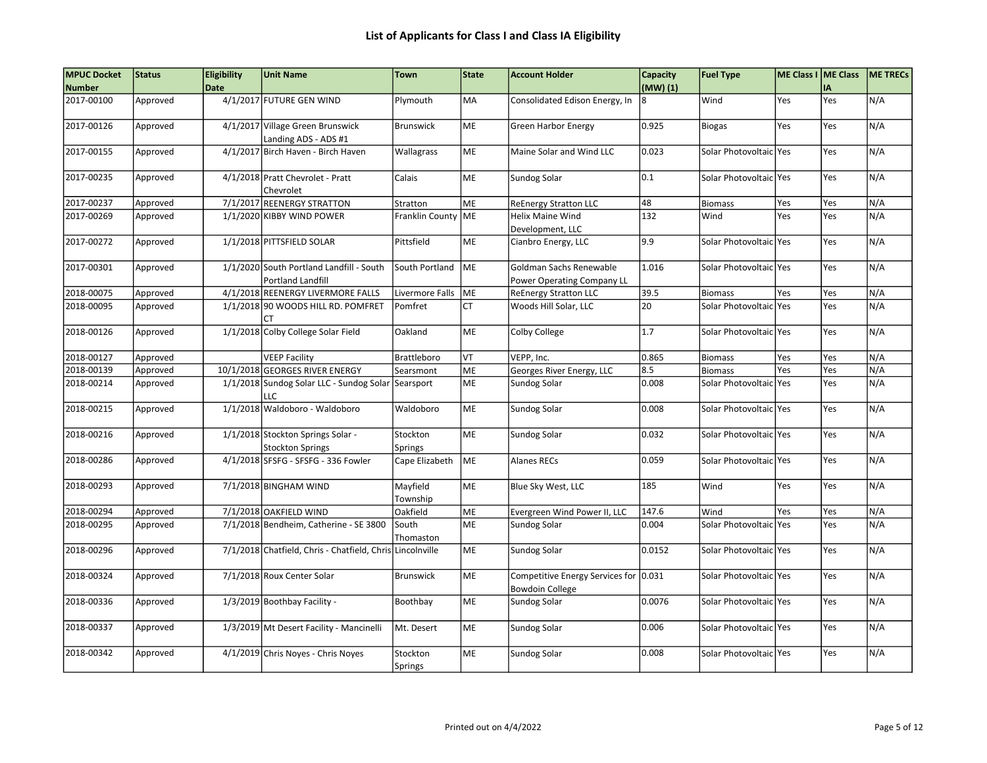| <b>MPUC Docket</b> | <b>Status</b> | <b>Eligibility</b> | <b>Unit Name</b>                                                     | <b>Town</b>          | State      | <b>Account Holder</b>                                           | Capacity | <b>Fuel Type</b>         | ME Class I   ME Class |     | <b>ME TRECS</b> |
|--------------------|---------------|--------------------|----------------------------------------------------------------------|----------------------|------------|-----------------------------------------------------------------|----------|--------------------------|-----------------------|-----|-----------------|
| <b>Number</b>      |               | <b>Date</b>        |                                                                      |                      |            |                                                                 | (MW)(1)  |                          |                       | IA  |                 |
| 2017-00100         | Approved      |                    | 4/1/2017 FUTURE GEN WIND                                             | Plymouth             | MA         | Consolidated Edison Energy, In                                  | 8        | Wind                     | Yes                   | Yes | N/A             |
| 2017-00126         | Approved      |                    | 4/1/2017 Village Green Brunswick<br>Landing ADS - ADS #1             | <b>Brunswick</b>     | ME         | <b>Green Harbor Energy</b>                                      | 0.925    | <b>Biogas</b>            | Yes                   | Yes | N/A             |
| 2017-00155         | Approved      |                    | 4/1/2017 Birch Haven - Birch Haven                                   | Wallagrass           | ME         | Maine Solar and Wind LLC                                        | 0.023    | Solar Photovoltaic Yes   |                       | Yes | N/A             |
| 2017-00235         | Approved      |                    | 4/1/2018 Pratt Chevrolet - Pratt<br>Chevrolet                        | Calais               | ME         | Sundog Solar                                                    | 0.1      | Solar Photovoltaic Yes   |                       | Yes | N/A             |
| 2017-00237         | Approved      |                    | 7/1/2017 REENERGY STRATTON                                           | Stratton             | ME         | <b>ReEnergy Stratton LLC</b>                                    | 48       | <b>Biomass</b>           | Yes                   | Yes | N/A             |
| 2017-00269         | Approved      |                    | 1/1/2020 KIBBY WIND POWER                                            | Franklin County ME   |            | <b>Helix Maine Wind</b><br>Development, LLC                     | 132      | Wind                     | Yes                   | Yes | N/A             |
| 2017-00272         | Approved      |                    | 1/1/2018 PITTSFIELD SOLAR                                            | Pittsfield           | ME         | Cianbro Energy, LLC                                             | 9.9      | Solar Photovoltaic Yes   |                       | Yes | N/A             |
| 2017-00301         | Approved      |                    | 1/1/2020 South Portland Landfill - South<br><b>Portland Landfill</b> | South Portland       | <b>IME</b> | Goldman Sachs Renewable<br>Power Operating Company LL           | 1.016    | Solar Photovoltaic Yes   |                       | Yes | N/A             |
| 2018-00075         | Approved      |                    | 4/1/2018 REENERGY LIVERMORE FALLS                                    | Livermore Falls      | ME         | <b>ReEnergy Stratton LLC</b>                                    | 39.5     | <b>Biomass</b>           | Yes                   | Yes | N/A             |
| 2018-00095         | Approved      |                    | 1/1/2018 90 WOODS HILL RD. POMFRET                                   | Pomfret              | <b>CT</b>  | Woods Hill Solar, LLC                                           | 20       | Solar Photovoltaic   Yes |                       | Yes | N/A             |
| 2018-00126         | Approved      |                    | 1/1/2018 Colby College Solar Field                                   | Oakland              | ME         | Colby College                                                   | 1.7      | Solar Photovoltaic Yes   |                       | Yes | N/A             |
| 2018-00127         | Approved      |                    | <b>VEEP Facility</b>                                                 | <b>Brattleboro</b>   | VT         | VEPP, Inc.                                                      | 0.865    | <b>Biomass</b>           | Yes                   | Yes | N/A             |
| 2018-00139         | Approved      |                    | 10/1/2018 GEORGES RIVER ENERGY                                       | Searsmont            | ME         | Georges River Energy, LLC                                       | 8.5      | <b>Biomass</b>           | Yes                   | Yes | N/A             |
| 2018-00214         | Approved      |                    | 1/1/2018 Sundog Solar LLC - Sundog Solar Searsport<br>LLC            |                      | ME         | Sundog Solar                                                    | 0.008    | Solar Photovoltaic Yes   |                       | Yes | N/A             |
| 2018-00215         | Approved      |                    | 1/1/2018 Waldoboro - Waldoboro                                       | Waldoboro            | ME         | Sundog Solar                                                    | 0.008    | Solar Photovoltaic   Yes |                       | Yes | N/A             |
| 2018-00216         | Approved      |                    | 1/1/2018 Stockton Springs Solar -<br><b>Stockton Springs</b>         | Stockton<br>Springs  | ME         | Sundog Solar                                                    | 0.032    | Solar Photovoltaic Yes   |                       | Yes | N/A             |
| 2018-00286         | Approved      |                    | 4/1/2018 SFSFG - SFSFG - 336 Fowler                                  | Cape Elizabeth       | <b>IME</b> | <b>Alanes RECs</b>                                              | 0.059    | Solar Photovoltaic Yes   |                       | Yes | N/A             |
| 2018-00293         | Approved      |                    | 7/1/2018 BINGHAM WIND                                                | Mayfield<br>Township | ME         | Blue Sky West, LLC                                              | 185      | Wind                     | Yes                   | Yes | N/A             |
| 2018-00294         | Approved      |                    | 7/1/2018 OAKFIELD WIND                                               | Oakfield             | ME         | Evergreen Wind Power II, LLC                                    | 147.6    | Wind                     | Yes                   | Yes | N/A             |
| 2018-00295         | Approved      |                    | 7/1/2018 Bendheim, Catherine - SE 3800                               | South<br>Thomaston   | ME         | Sundog Solar                                                    | 0.004    | Solar Photovoltaic lYes  |                       | Yes | N/A             |
| 2018-00296         | Approved      |                    | 7/1/2018 Chatfield, Chris - Chatfield, Chris Lincolnville            |                      | ME         | Sundog Solar                                                    | 0.0152   | Solar Photovoltaic Yes   |                       | Yes | N/A             |
| 2018-00324         | Approved      |                    | 7/1/2018 Roux Center Solar                                           | <b>Brunswick</b>     | ME         | Competitive Energy Services for 0.031<br><b>Bowdoin College</b> |          | Solar Photovoltaic Yes   |                       | Yes | N/A             |
| 2018-00336         | Approved      |                    | 1/3/2019 Boothbay Facility -                                         | Boothbay             | <b>ME</b>  | Sundog Solar                                                    | 0.0076   | Solar Photovoltaic   Yes |                       | Yes | N/A             |
| 2018-00337         | Approved      |                    | 1/3/2019 Mt Desert Facility - Mancinelli                             | Mt. Desert           | ME         | Sundog Solar                                                    | 0.006    | Solar Photovoltaic Yes   |                       | Yes | N/A             |
| 2018-00342         | Approved      |                    | 4/1/2019 Chris Noyes - Chris Noyes                                   | Stockton<br>Springs  | ME         | Sundog Solar                                                    | 0.008    | Solar Photovoltaic Yes   |                       | Yes | N/A             |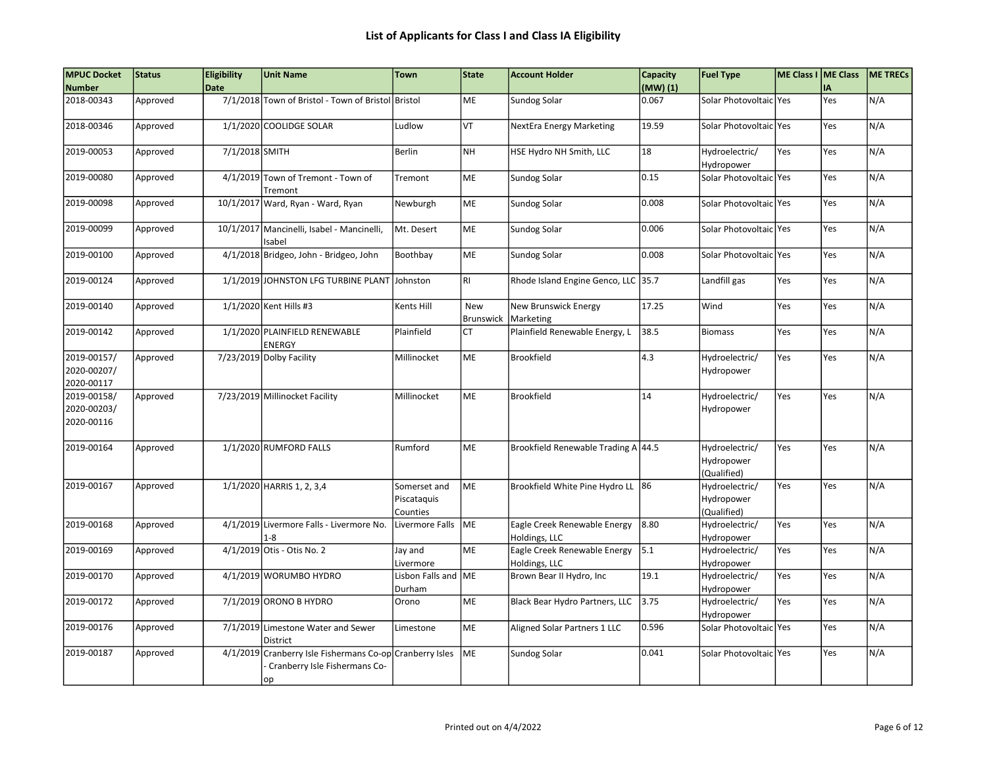| <b>MPUC Docket</b>                       | Status   | <b>Eligibility</b> | <b>Unit Name</b>                                                                                | <b>Town</b>                             | State                   | <b>Account Holder</b>                         | Capacity | <b>Fuel Type</b>                            | ME Class I ME Class |     | ME TRECS |
|------------------------------------------|----------|--------------------|-------------------------------------------------------------------------------------------------|-----------------------------------------|-------------------------|-----------------------------------------------|----------|---------------------------------------------|---------------------|-----|----------|
| <b>Number</b>                            |          | <b>Date</b>        |                                                                                                 |                                         |                         |                                               | (MW)(1)  |                                             |                     | İΑ  |          |
| 2018-00343                               | Approved |                    | 7/1/2018 Town of Bristol - Town of Bristol Bristol                                              |                                         | <b>ME</b>               | Sundog Solar                                  | 0.067    | Solar Photovoltaic lYes                     |                     | Yes | N/A      |
| 2018-00346                               | Approved |                    | 1/1/2020 COOLIDGE SOLAR                                                                         | Ludlow                                  | VT                      | NextEra Energy Marketing                      | 19.59    | Solar Photovoltaic Yes                      |                     | Yes | N/A      |
| 2019-00053                               | Approved | 7/1/2018 SMITH     |                                                                                                 | Berlin                                  | <b>NH</b>               | HSE Hydro NH Smith, LLC                       | 18       | Hydroelectric/<br>Hydropower                | Yes                 | Yes | N/A      |
| 2019-00080                               | Approved |                    | 4/1/2019 Town of Tremont - Town of<br>Tremont                                                   | Tremont                                 | ME                      | Sundog Solar                                  | 0.15     | Solar Photovoltaic Yes                      |                     | Yes | N/A      |
| 2019-00098                               | Approved |                    | 10/1/2017 Ward, Ryan - Ward, Ryan                                                               | Newburgh                                | ME                      | Sundog Solar                                  | 0.008    | Solar Photovoltaic Yes                      |                     | Yes | N/A      |
| 2019-00099                               | Approved |                    | 10/1/2017 Mancinelli, Isabel - Mancinelli,<br>Isabel                                            | Mt. Desert                              | ME                      | Sundog Solar                                  | 0.006    | Solar Photovoltaic Yes                      |                     | Yes | N/A      |
| 2019-00100                               | Approved |                    | 4/1/2018 Bridgeo, John - Bridgeo, John                                                          | Boothbay                                | ME                      | <b>Sundog Solar</b>                           | 0.008    | Solar Photovoltaic Yes                      |                     | Yes | N/A      |
| 2019-00124                               | Approved |                    | 1/1/2019 JOHNSTON LFG TURBINE PLANT Johnston                                                    |                                         | RI                      | Rhode Island Engine Genco, LLC 35.7           |          | Landfill gas                                | Yes                 | Yes | N/A      |
| 2019-00140                               | Approved |                    | 1/1/2020 Kent Hills #3                                                                          | Kents Hill                              | <b>New</b><br>Brunswick | New Brunswick Energy<br>Marketing             | 17.25    | Wind                                        | Yes                 | Yes | N/A      |
| 2019-00142                               | Approved |                    | 1/1/2020 PLAINFIELD RENEWABLE<br><b>ENERGY</b>                                                  | Plainfield                              | <b>CT</b>               | Plainfield Renewable Energy, L                | 38.5     | <b>Biomass</b>                              | Yes                 | Yes | N/A      |
| 2019-00157/<br>2020-00207/<br>2020-00117 | Approved |                    | 7/23/2019 Dolby Facility                                                                        | Millinocket                             | ME                      | Brookfield                                    | 4.3      | Hydroelectric/<br>Hydropower                | Yes                 | Yes | N/A      |
| 2019-00158/<br>2020-00203/<br>2020-00116 | Approved |                    | 7/23/2019 Millinocket Facility                                                                  | Millinocket                             | <b>ME</b>               | <b>Brookfield</b>                             | 14       | Hydroelectric/<br>Hydropower                | Yes                 | Yes | N/A      |
| 2019-00164                               | Approved |                    | 1/1/2020 RUMFORD FALLS                                                                          | Rumford                                 | ME                      | Brookfield Renewable Trading A 44.5           |          | Hydroelectric/<br>Hydropower<br>(Qualified) | Yes                 | Yes | N/A      |
| 2019-00167                               | Approved |                    | 1/1/2020 HARRIS 1, 2, 3,4                                                                       | Somerset and<br>Piscataquis<br>Counties | ME                      | Brookfield White Pine Hydro LL 86             |          | Hydroelectric/<br>Hydropower<br>(Qualified) | Yes                 | Yes | N/A      |
| 2019-00168                               | Approved |                    | 4/1/2019 Livermore Falls - Livermore No.<br>1-8                                                 | Livermore Falls ME                      |                         | Eagle Creek Renewable Energy<br>Holdings, LLC | 8.80     | Hydroelectric/<br>Hydropower                | Yes                 | Yes | N/A      |
| 2019-00169                               | Approved |                    | 4/1/2019 Otis - Otis No. 2                                                                      | Jay and<br>Livermore                    | ME                      | Eagle Creek Renewable Energy<br>Holdings, LLC | 5.1      | Hydroelectric/<br>Hydropower                | Yes                 | Yes | N/A      |
| 2019-00170                               | Approved |                    | 4/1/2019 WORUMBO HYDRO                                                                          | Lisbon Falls and ME<br>Durham           |                         | Brown Bear II Hydro, Inc                      | 19.1     | Hydroelectric/<br>Hydropower                | Yes                 | Yes | N/A      |
| 2019-00172                               | Approved |                    | 7/1/2019 ORONO B HYDRO                                                                          | Orono                                   | <b>ME</b>               | Black Bear Hydro Partners, LLC                | 3.75     | Hydroelectric/<br>Hydropower                | Yes                 | Yes | N/A      |
| 2019-00176                               | Approved |                    | 7/1/2019 Limestone Water and Sewer<br>District                                                  | Limestone                               | ME                      | Aligned Solar Partners 1 LLC                  | 0.596    | Solar Photovoltaic Yes                      |                     | Yes | N/A      |
| 2019-00187                               | Approved |                    | 4/1/2019 Cranberry Isle Fishermans Co-op Cranberry Isles<br>Cranberry Isle Fishermans Co-<br>op |                                         | ME                      | Sundog Solar                                  | 0.041    | Solar Photovoltaic   Yes                    |                     | Yes | N/A      |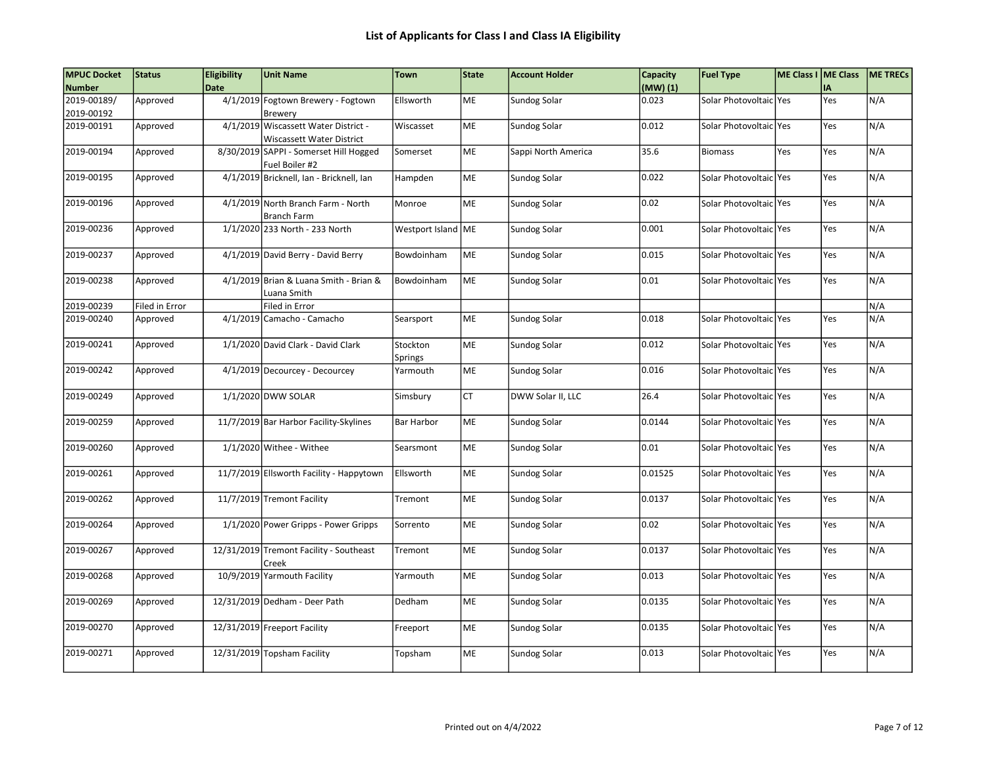| <b>MPUC Docket</b>        | Status         | <b>Eligibility</b> | <b>Unit Name</b>                                                  | <b>Town</b>          | <b>State</b> | <b>Account Holder</b> | Capacity | <b>Fuel Type</b>         | ME Class I ME Class |     | ME TRECS |
|---------------------------|----------------|--------------------|-------------------------------------------------------------------|----------------------|--------------|-----------------------|----------|--------------------------|---------------------|-----|----------|
| <b>Number</b>             |                | <b>Date</b>        |                                                                   |                      |              |                       | (MW)(1)  |                          |                     | IA  |          |
| 2019-00189/<br>2019-00192 | Approved       |                    | 4/1/2019 Fogtown Brewery - Fogtown<br>Brewery                     | Ellsworth            | <b>ME</b>    | Sundog Solar          | 0.023    | Solar Photovoltaic   Yes |                     | Yes | N/A      |
| 2019-00191                | Approved       |                    | 4/1/2019 Wiscassett Water District -<br>Wiscassett Water District | Wiscasset            | ME           | Sundog Solar          | 0.012    | Solar Photovoltaic Yes   |                     | Yes | N/A      |
| 2019-00194                | Approved       |                    | 8/30/2019 SAPPI - Somerset Hill Hogged<br>Fuel Boiler #2          | Somerset             | ME           | Sappi North America   | 35.6     | <b>Biomass</b>           | Yes                 | Yes | N/A      |
| 2019-00195                | Approved       |                    | 4/1/2019 Bricknell, Ian - Bricknell, Ian                          | Hampden              | <b>ME</b>    | Sundog Solar          | 0.022    | Solar Photovoltaic Yes   |                     | Yes | N/A      |
| 2019-00196                | Approved       |                    | 4/1/2019 North Branch Farm - North<br><b>Branch Farm</b>          | Monroe               | ME           | Sundog Solar          | 0.02     | Solar Photovoltaic   Yes |                     | Yes | N/A      |
| 2019-00236                | Approved       |                    | 1/1/2020 233 North - 233 North                                    | Westport Island   ME |              | Sundog Solar          | 0.001    | Solar Photovoltaic   Yes |                     | Yes | N/A      |
| 2019-00237                | Approved       |                    | 4/1/2019 David Berry - David Berry                                | Bowdoinham           | ME           | Sundog Solar          | 0.015    | Solar Photovoltaic   Yes |                     | Yes | N/A      |
| 2019-00238                | Approved       |                    | 4/1/2019 Brian & Luana Smith - Brian &<br>Luana Smith             | Bowdoinham           | lme          | Sundog Solar          | 0.01     | Solar Photovoltaic lYes  |                     | Yes | N/A      |
| 2019-00239                | Filed in Error |                    | Filed in Error                                                    |                      |              |                       |          |                          |                     |     | N/A      |
| 2019-00240                | Approved       |                    | 4/1/2019 Camacho - Camacho                                        | Searsport            | ME           | Sundog Solar          | 0.018    | Solar Photovoltaic   Yes |                     | Yes | N/A      |
| 2019-00241                | Approved       |                    | 1/1/2020 David Clark - David Clark                                | Stockton<br>Springs  | ME           | Sundog Solar          | 0.012    | Solar Photovoltaic   Yes |                     | Yes | N/A      |
| 2019-00242                | Approved       |                    | 4/1/2019 Decourcey - Decourcey                                    | Yarmouth             | ME           | Sundog Solar          | 0.016    | Solar Photovoltaic   Yes |                     | Yes | N/A      |
| 2019-00249                | Approved       |                    | 1/1/2020 DWW SOLAR                                                | Simsbury             | CT           | DWW Solar II, LLC     | 26.4     | Solar Photovoltaic   Yes |                     | Yes | N/A      |
| 2019-00259                | Approved       |                    | 11/7/2019 Bar Harbor Facility-Skylines                            | <b>Bar Harbor</b>    | ME           | Sundog Solar          | 0.0144   | Solar Photovoltaic Yes   |                     | Yes | N/A      |
| 2019-00260                | Approved       |                    | 1/1/2020 Withee - Withee                                          | Searsmont            | ME           | Sundog Solar          | 0.01     | Solar Photovoltaic   Yes |                     | Yes | N/A      |
| 2019-00261                | Approved       |                    | 11/7/2019 Ellsworth Facility - Happytown                          | Ellsworth            | ME           | Sundog Solar          | 0.01525  | Solar Photovoltaic   Yes |                     | Yes | N/A      |
| 2019-00262                | Approved       |                    | 11/7/2019 Tremont Facility                                        | Tremont              | <b>ME</b>    | Sundog Solar          | 0.0137   | Solar Photovoltaic Yes   |                     | Yes | N/A      |
| 2019-00264                | Approved       |                    | 1/1/2020 Power Gripps - Power Gripps                              | Sorrento             | ME           | Sundog Solar          | 0.02     | Solar Photovoltaic Yes   |                     | Yes | N/A      |
| 2019-00267                | Approved       |                    | 12/31/2019 Tremont Facility - Southeast<br>Creek                  | Tremont              | ME           | Sundog Solar          | 0.0137   | Solar Photovoltaic Yes   |                     | Yes | N/A      |
| 2019-00268                | Approved       |                    | 10/9/2019 Yarmouth Facility                                       | Yarmouth             | ME           | Sundog Solar          | 0.013    | Solar Photovoltaic   Yes |                     | Yes | N/A      |
| 2019-00269                | Approved       |                    | 12/31/2019 Dedham - Deer Path                                     | Dedham               | ME           | Sundog Solar          | 0.0135   | Solar Photovoltaic   Yes |                     | Yes | N/A      |
| 2019-00270                | Approved       |                    | 12/31/2019 Freeport Facility                                      | Freeport             | ME           | Sundog Solar          | 0.0135   | Solar Photovoltaic   Yes |                     | Yes | N/A      |
| 2019-00271                | Approved       |                    | 12/31/2019 Topsham Facility                                       | Topsham              | ME           | Sundog Solar          | 0.013    | Solar Photovoltaic Yes   |                     | Yes | N/A      |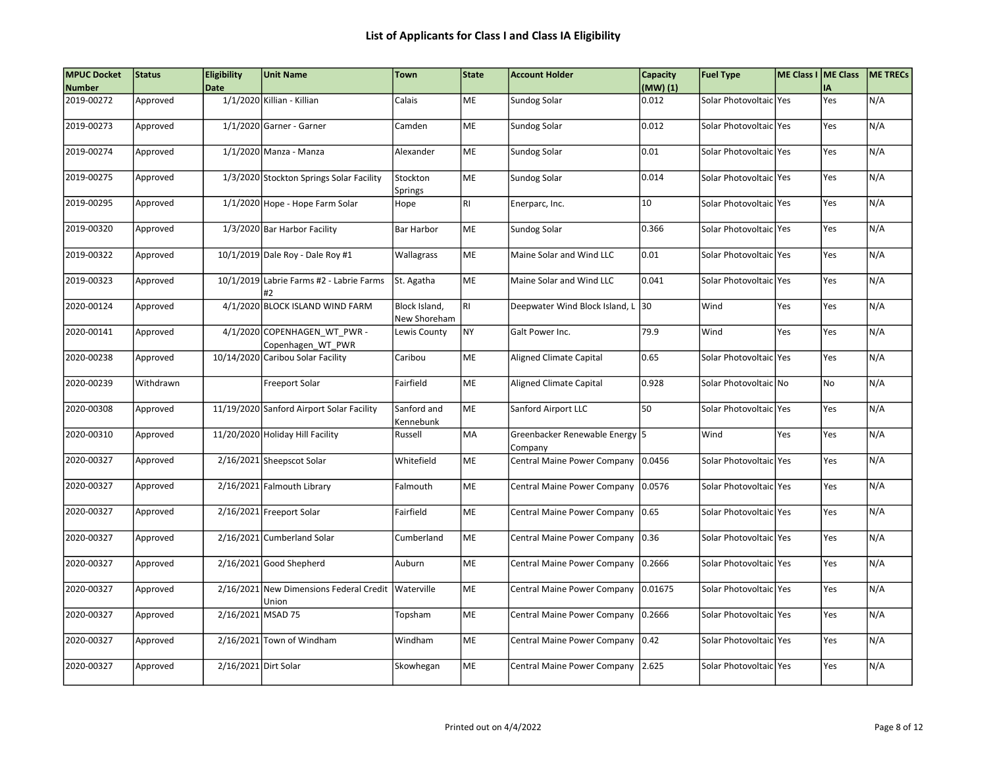| <b>MPUC Docket</b> | <b>Status</b> | <b>Eligibility</b>   | <b>Unit Name</b>                                 | <b>Town</b>                   | <b>State</b> | <b>Account Holder</b>                     | Capacity | <b>Fuel Type</b>        | ME Class I ME Class |            | <b>ME TRECS</b> |
|--------------------|---------------|----------------------|--------------------------------------------------|-------------------------------|--------------|-------------------------------------------|----------|-------------------------|---------------------|------------|-----------------|
| <b>Number</b>      |               | <b>Date</b>          |                                                  |                               |              |                                           | (MW)(1)  |                         |                     | IA         |                 |
| 2019-00272         | Approved      |                      | 1/1/2020 Killian - Killian                       | Calais                        | ME           | Sundog Solar                              | 0.012    | Solar Photovoltaic Yes  |                     | Yes        | N/A             |
| 2019-00273         | Approved      |                      | 1/1/2020 Garner - Garner                         | Camden                        | <b>ME</b>    | Sundog Solar                              | 0.012    | Solar Photovoltaic lYes |                     | <b>Yes</b> | N/A             |
| 2019-00274         | Approved      |                      | 1/1/2020 Manza - Manza                           | Alexander                     | ME           | Sundog Solar                              | 0.01     | Solar Photovoltaic Yes  |                     | Yes        | N/A             |
| 2019-00275         | Approved      |                      | 1/3/2020 Stockton Springs Solar Facility         | Stockton<br>Springs           | ME           | Sundog Solar                              | 0.014    | Solar Photovoltaic Yes  |                     | Yes        | N/A             |
| 2019-00295         | Approved      |                      | 1/1/2020 Hope - Hope Farm Solar                  | Hope                          | <b>RI</b>    | Enerparc, Inc.                            | 10       | Solar Photovoltaic Yes  |                     | Yes        | N/A             |
| 2019-00320         | Approved      |                      | 1/3/2020 Bar Harbor Facility                     | <b>Bar Harbor</b>             | ME           | Sundog Solar                              | 0.366    | Solar Photovoltaic Yes  |                     | lYes       | N/A             |
| 2019-00322         | Approved      |                      | 10/1/2019 Dale Roy - Dale Roy #1                 | Wallagrass                    | ME           | Maine Solar and Wind LLC                  | 0.01     | Solar Photovoltaic Yes  |                     | Yes        | N/A             |
| 2019-00323         | Approved      |                      | 10/1/2019 Labrie Farms #2 - Labrie Farms         | St. Agatha                    | ME           | Maine Solar and Wind LLC                  | 0.041    | Solar Photovoltaic Yes  |                     | Yes        | N/A             |
| 2020-00124         | Approved      |                      | 4/1/2020 BLOCK ISLAND WIND FARM                  | Block Island,<br>New Shoreham | <b>RI</b>    | Deepwater Wind Block Island, L            | 30       | Wind                    | Yes                 | Yes        | N/A             |
| 2020-00141         | Approved      |                      | 4/1/2020 COPENHAGEN WT PWR-<br>Copenhagen WT PWR | Lewis County                  | <b>NY</b>    | Galt Power Inc.                           | 79.9     | Wind                    | Yes                 | lYes       | N/A             |
| 2020-00238         | Approved      |                      | 10/14/2020 Caribou Solar Facility                | Caribou                       | <b>ME</b>    | <b>Aligned Climate Capital</b>            | 0.65     | Solar Photovoltaic lYes |                     | <b>Yes</b> | N/A             |
| 2020-00239         | Withdrawn     |                      | Freeport Solar                                   | Fairfield                     | ME           | <b>Aligned Climate Capital</b>            | 0.928    | Solar Photovoltaic No   |                     | No)        | N/A             |
| 2020-00308         | Approved      |                      | 11/19/2020 Sanford Airport Solar Facility        | Sanford and<br>Kennebunk      | ME           | Sanford Airport LLC                       | 50       | Solar Photovoltaic Yes  |                     | Yes        | N/A             |
| 2020-00310         | Approved      |                      | 11/20/2020 Holiday Hill Facility                 | Russell                       | MA           | Greenbacker Renewable Energy 5<br>Company |          | Wind                    | Yes                 | Yes        | N/A             |
| 2020-00327         | Approved      |                      | 2/16/2021 Sheepscot Solar                        | Whitefield                    | <b>ME</b>    | Central Maine Power Company               | 0.0456   | Solar Photovoltaicl Yes |                     | Yes        | N/A             |
| 2020-00327         | Approved      |                      | 2/16/2021 Falmouth Library                       | Falmouth                      | ME           | Central Maine Power Company               | 0.0576   | Solar Photovoltaic Yes  |                     | Yes        | N/A             |
| 2020-00327         | Approved      |                      | 2/16/2021 Freeport Solar                         | Fairfield                     | <b>ME</b>    | Central Maine Power Company               | 0.65     | Solar Photovoltaic Yes  |                     | Yes        | N/A             |
| 2020-00327         | Approved      |                      | 2/16/2021 Cumberland Solar                       | Cumberland                    | ME           | Central Maine Power Company 0.36          |          | Solar Photovoltaic Yes  |                     | Yes        | N/A             |
| 2020-00327         | Approved      |                      | 2/16/2021 Good Shepherd                          | Auburn                        | <b>ME</b>    | Central Maine Power Company               | 0.2666   | Solar Photovoltaic Yes  |                     | Yes        | N/A             |
| 2020-00327         | Approved      |                      | 2/16/2021 New Dimensions Federal Credit<br>Union | Waterville                    | ME           | Central Maine Power Company               | 0.01675  | Solar Photovoltaic Yes  |                     | Yes        | N/A             |
| 2020-00327         | Approved      | 2/16/2021 MSAD 75    |                                                  | Topsham                       | ME           | Central Maine Power Company               | 0.2666   | Solar Photovoltaic Yes  |                     | Yes        | N/A             |
| 2020-00327         | Approved      |                      | 2/16/2021 Town of Windham                        | Windham                       | <b>ME</b>    | Central Maine Power Company               | 0.42     | Solar Photovoltaic Yes  |                     | Yes        | N/A             |
| 2020-00327         | Approved      | 2/16/2021 Dirt Solar |                                                  | Skowhegan                     | ME           | Central Maine Power Company               | 2.625    | Solar Photovoltaic Yes  |                     | Yes        | N/A             |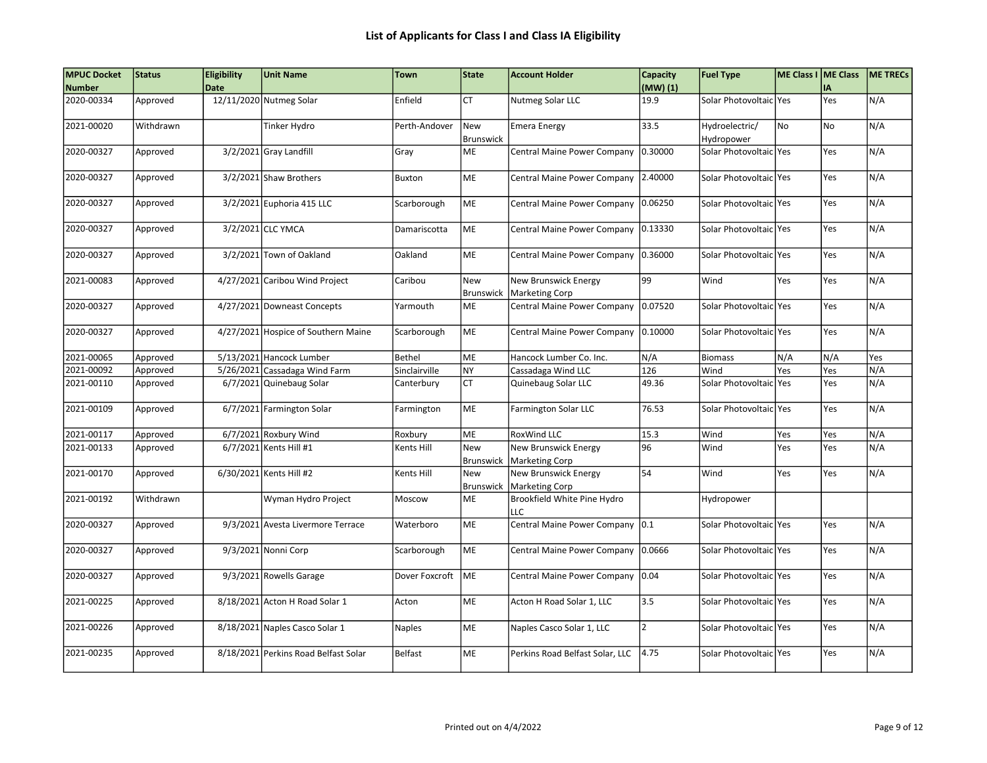| <b>MPUC Docket</b> | <b>Status</b> | Eligibility | <b>Unit Name</b>                     | <b>Town</b>    | <b>State</b>     | <b>Account Holder</b>                              | Capacity       | <b>Fuel Type</b>         | ME Class I ME Class |            | <b>ME TRECS</b> |
|--------------------|---------------|-------------|--------------------------------------|----------------|------------------|----------------------------------------------------|----------------|--------------------------|---------------------|------------|-----------------|
| <b>Number</b>      |               | <b>Date</b> |                                      |                |                  |                                                    | (MW)(1)        |                          |                     | <b>IA</b>  |                 |
| 2020-00334         | Approved      |             | 12/11/2020 Nutmeg Solar              | Enfield        | <b>CT</b>        | Nutmeg Solar LLC                                   | 19.9           | Solar Photovoltaic Yes   |                     | Yes        | N/A             |
| 2021-00020         | Withdrawn     |             | Tinker Hydro                         | Perth-Andover  | New              | <b>Emera Energy</b>                                | 33.5           | Hydroelectric/           | No                  | No)        | N/A             |
|                    |               |             |                                      |                | <b>Brunswick</b> |                                                    |                | Hydropower               |                     |            |                 |
| 2020-00327         | Approved      |             | 3/2/2021 Gray Landfill               | Gray           | ME               | Central Maine Power Company                        | 0.30000        | Solar Photovoltaic Yes   |                     | Yes        | N/A             |
| 2020-00327         | Approved      |             | 3/2/2021 Shaw Brothers               | Buxton         | ME               | Central Maine Power Company                        | 2.40000        | Solar Photovoltaic Yes   |                     | <b>Yes</b> | N/A             |
| 2020-00327         | Approved      |             | 3/2/2021 Euphoria 415 LLC            | Scarborough    | ME               | Central Maine Power Company                        | 0.06250        | Solar Photovoltaic Yes   |                     | <b>Yes</b> | N/A             |
| 2020-00327         | Approved      |             | 3/2/2021 CLC YMCA                    | Damariscotta   | ME               | Central Maine Power Company                        | 0.13330        | Solar Photovoltaic Yes   |                     | <b>Yes</b> | N/A             |
| 2020-00327         | Approved      |             | 3/2/2021 Town of Oakland             | Oakland        | ME               | Central Maine Power Company                        | 0.36000        | Solar Photovoltaic   Yes |                     | Yes        | N/A             |
| 2021-00083         | Approved      |             | 4/27/2021 Caribou Wind Project       | Caribou        | New              | New Brunswick Energy<br>Brunswick   Marketing Corp | 99             | Wind                     | Yes                 | Yes        | N/A             |
| 2020-00327         | Approved      |             | 4/27/2021 Downeast Concepts          | Yarmouth       | ME               | Central Maine Power Company                        | 0.07520        | Solar Photovoltaic Yes   |                     | Yes        | N/A             |
| 2020-00327         | Approved      |             | 4/27/2021 Hospice of Southern Maine  | Scarborough    | ME               | Central Maine Power Company                        | 0.10000        | Solar Photovoltaic Yes   |                     | Yes        | N/A             |
| 2021-00065         | Approved      |             | 5/13/2021 Hancock Lumber             | Bethel         | <b>ME</b>        | Hancock Lumber Co. Inc.                            | N/A            | <b>Biomass</b>           | N/A                 | ln/a       | Yes             |
| 2021-00092         | Approved      |             | 5/26/2021 Cassadaga Wind Farm        | Sinclairville  | NY               | Cassadaga Wind LLC                                 | 126            | Wind                     | Yes                 | Yes        | N/A             |
| 2021-00110         | Approved      |             | 6/7/2021 Quinebaug Solar             | Canterbury     | <b>CT</b>        | Quinebaug Solar LLC                                | 49.36          | Solar Photovoltaic   Yes |                     | Yes        | N/A             |
| 2021-00109         | Approved      |             | 6/7/2021 Farmington Solar            | Farmington     | ME               | <b>Farmington Solar LLC</b>                        | 76.53          | Solar Photovoltaic Yes   |                     | Yes        | N/A             |
| 2021-00117         | Approved      |             | 6/7/2021 Roxbury Wind                | Roxbury        | ME               | RoxWind LLC                                        | 15.3           | Wind                     | Yes                 | Yes        | N/A             |
| 2021-00133         | Approved      |             | 6/7/2021 Kents Hill #1               | Kents Hill     | New              | New Brunswick Energy                               | 96             | Wind                     | Yes                 | Yes        | N/A             |
|                    |               |             |                                      |                | <b>Brunswick</b> | Marketing Corp                                     |                |                          |                     |            |                 |
| 2021-00170         | Approved      |             | 6/30/2021 Kents Hill #2              | Kents Hill     | New              | New Brunswick Energy                               | 54             | Wind                     | Yes                 | Yes        | N/A             |
|                    |               |             |                                      |                | <b>Brunswick</b> | <b>Marketing Corp</b>                              |                |                          |                     |            |                 |
| 2021-00192         | Withdrawn     |             | Wyman Hydro Project                  | Moscow         | ME               | Brookfield White Pine Hydro<br>LLC                 |                | Hydropower               |                     |            |                 |
| 2020-00327         | Approved      |             | 9/3/2021 Avesta Livermore Terrace    | Waterboro      | ME               | Central Maine Power Company                        | 0.1            | Solar Photovoltaic Yes   |                     | Yes        | N/A             |
| 2020-00327         | Approved      |             | 9/3/2021 Nonni Corp                  | Scarborough    | ME               | Central Maine Power Company                        | 0.0666         | Solar Photovoltaic Yes   |                     | <b>Yes</b> | N/A             |
| 2020-00327         | Approved      |             | 9/3/2021 Rowells Garage              | Dover Foxcroft | ME               | Central Maine Power Company 0.04                   |                | Solar Photovoltaic Yes   |                     | lYes       | N/A             |
| 2021-00225         | Approved      |             | 8/18/2021 Acton H Road Solar 1       | Acton          | ME               | Acton H Road Solar 1, LLC                          | 3.5            | Solar Photovoltaic Yes   |                     | <b>Yes</b> | N/A             |
| 2021-00226         | Approved      |             | 8/18/2021 Naples Casco Solar 1       | Naples         | ME               | Naples Casco Solar 1, LLC                          | $\overline{2}$ | Solar Photovoltaic Yes   |                     | Yes        | N/A             |
| 2021-00235         | Approved      |             | 8/18/2021 Perkins Road Belfast Solar | <b>Belfast</b> | ME               | Perkins Road Belfast Solar, LLC                    | 4.75           | Solar Photovoltaic Yes   |                     | Yes        | N/A             |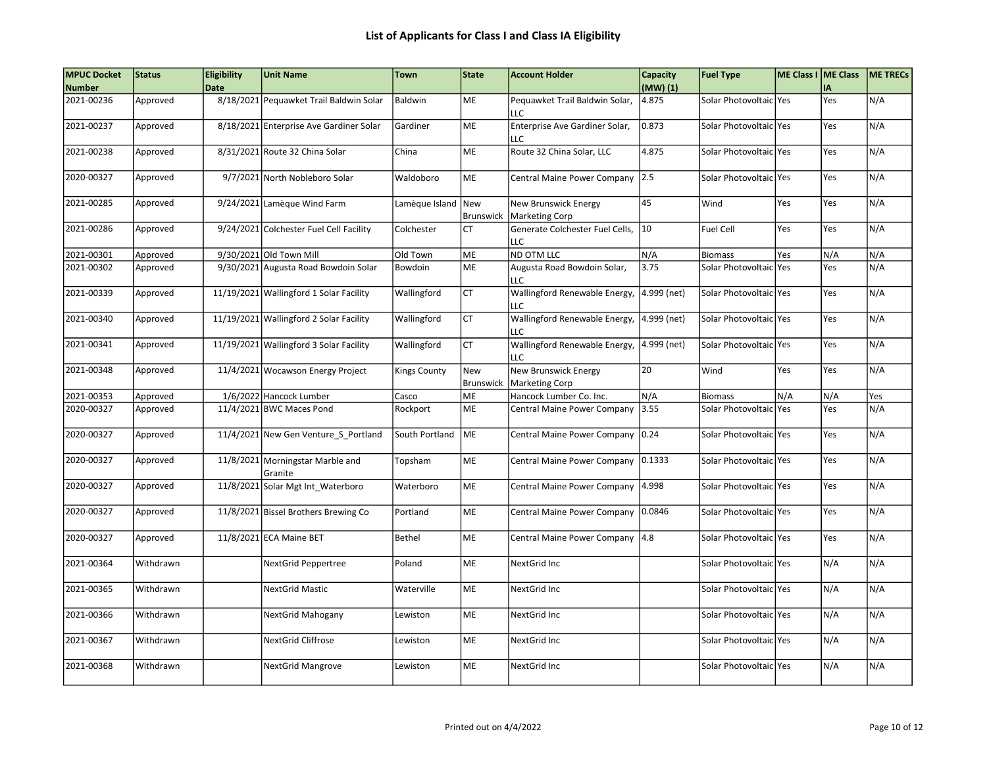| <b>MPUC Docket</b> | Status    | <b>Eligibility</b> | <b>Unit Name</b>                            | <b>Town</b>         | State      | <b>Account Holder</b>                                     | Capacity    | <b>Fuel Type</b>         | ME Class I ME Class |     | <b>ME TRECS</b> |
|--------------------|-----------|--------------------|---------------------------------------------|---------------------|------------|-----------------------------------------------------------|-------------|--------------------------|---------------------|-----|-----------------|
| <b>Number</b>      |           | <b>Date</b>        |                                             |                     |            |                                                           | (MW)(1)     |                          |                     | IΑ  |                 |
| 2021-00236         | Approved  |                    | 8/18/2021 Pequawket Trail Baldwin Solar     | Baldwin             | <b>ME</b>  | Pequawket Trail Baldwin Solar,<br>LLC                     | 4.875       | Solar Photovoltaic lYes  |                     | Yes | N/A             |
| 2021-00237         | Approved  |                    | 8/18/2021 Enterprise Ave Gardiner Solar     | Gardiner            | <b>ME</b>  | Enterprise Ave Gardiner Solar,<br>LLC                     | 0.873       | Solar Photovoltaic   Yes |                     | Yes | N/A             |
| 2021-00238         | Approved  |                    | 8/31/2021 Route 32 China Solar              | China               | <b>ME</b>  | Route 32 China Solar, LLC                                 | 4.875       | Solar Photovoltaic lYes  |                     | Yes | N/A             |
| 2020-00327         | Approved  |                    | 9/7/2021 North Nobleboro Solar              | Waldoboro           | ME         | Central Maine Power Company                               | 2.5         | Solar Photovoltaic Yes   |                     | Yes | N/A             |
| 2021-00285         | Approved  |                    | 9/24/2021 Lamèque Wind Farm                 | Lamèque Island New  | Brunswick  | <b>New Brunswick Energy</b><br><b>Marketing Corp</b>      | 45          | Wind                     | Yes                 | Yes | N/A             |
| 2021-00286         | Approved  |                    | 9/24/2021 Colchester Fuel Cell Facility     | Colchester          | <b>CT</b>  | Generate Colchester Fuel Cells,<br>LLC.                   | 10          | <b>Fuel Cell</b>         | Yes                 | Yes | N/A             |
| 2021-00301         | Approved  |                    | 9/30/2021 Old Town Mill                     | Old Town            | ME         | ND OTM LLC                                                | N/A         | <b>Biomass</b>           | Yes                 | N/A | N/A             |
| 2021-00302         | Approved  |                    | 9/30/2021 Augusta Road Bowdoin Solar        | Bowdoin             | <b>ME</b>  | Augusta Road Bowdoin Solar,<br>LLC                        | 3.75        | Solar Photovoltaic Yes   |                     | Yes | N/A             |
| 2021-00339         | Approved  |                    | 11/19/2021 Wallingford 1 Solar Facility     | Wallingford         | <b>CT</b>  | Wallingford Renewable Energy,<br>LLC                      | 4.999 (net) | Solar Photovoltaic Yes   |                     | Yes | N/A             |
| 2021-00340         | Approved  |                    | 11/19/2021 Wallingford 2 Solar Facility     | Wallingford         | <b>CT</b>  | Wallingford Renewable Energy,<br>LLC                      | 4.999 (net) | Solar Photovoltaic Yes   |                     | Yes | N/A             |
| 2021-00341         | Approved  |                    | 11/19/2021 Wallingford 3 Solar Facility     | Wallingford         | <b>CT</b>  | Wallingford Renewable Energy,<br>LLC                      | 4.999 (net) | Solar Photovoltaic Yes   |                     | Yes | N/A             |
| 2021-00348         | Approved  |                    | 11/4/2021 Wocawson Energy Project           | <b>Kings County</b> | <b>New</b> | <b>New Brunswick Energy</b><br>Brunswick   Marketing Corp | 20          | Wind                     | Yes                 | Yes | N/A             |
| 2021-00353         | Approved  |                    | 1/6/2022 Hancock Lumber                     | Casco               | ME         | Hancock Lumber Co. Inc.                                   | N/A         | <b>Biomass</b>           | N/A                 | N/A | Yes             |
| 2020-00327         | Approved  |                    | 11/4/2021 BWC Maces Pond                    | Rockport            | ME         | Central Maine Power Company                               | 3.55        | Solar Photovoltaic Yes   |                     | Yes | N/A             |
| 2020-00327         | Approved  |                    | 11/4/2021 New Gen Venture_S_Portland        | South Portland      | <b>IME</b> | Central Maine Power Company                               | 0.24        | Solar Photovoltaic   Yes |                     | Yes | N/A             |
| 2020-00327         | Approved  |                    | 11/8/2021 Morningstar Marble and<br>Granite | Topsham             | ME         | Central Maine Power Company                               | 0.1333      | Solar Photovoltaic Yes   |                     | Yes | N/A             |
| 2020-00327         | Approved  |                    | 11/8/2021 Solar Mgt Int_Waterboro           | Waterboro           | ME         | Central Maine Power Company                               | 4.998       | Solar Photovoltaic   Yes |                     | Yes | N/A             |
| 2020-00327         | Approved  |                    | 11/8/2021 Bissel Brothers Brewing Co        | Portland            | ME         | Central Maine Power Company                               | 0.0846      | Solar Photovoltaic Yes   |                     | Yes | N/A             |
| 2020-00327         | Approved  |                    | 11/8/2021 ECA Maine BET                     | Bethel              | ME         | Central Maine Power Company 4.8                           |             | Solar Photovoltaic Yes   |                     | Yes | N/A             |
| 2021-00364         | Withdrawn |                    | NextGrid Peppertree                         | Poland              | ME         | NextGrid Inc                                              |             | Solar Photovoltaic Yes   |                     | N/A | N/A             |
| 2021-00365         | Withdrawn |                    | <b>NextGrid Mastic</b>                      | Waterville          | ME         | NextGrid Inc                                              |             | Solar Photovoltaic lYes  |                     | N/A | N/A             |
| 2021-00366         | Withdrawn |                    | NextGrid Mahogany                           | Lewiston            | ME         | NextGrid Inc                                              |             | Solar Photovoltaic   Yes |                     | N/A | N/A             |
| 2021-00367         | Withdrawn |                    | <b>NextGrid Cliffrose</b>                   | Lewiston            | <b>ME</b>  | NextGrid Inc                                              |             | Solar Photovoltaic lYes  |                     | N/A | N/A             |
| 2021-00368         | Withdrawn |                    | <b>NextGrid Mangrove</b>                    | Lewiston            | ME         | NextGrid Inc                                              |             | Solar Photovoltaic   Yes |                     | N/A | N/A             |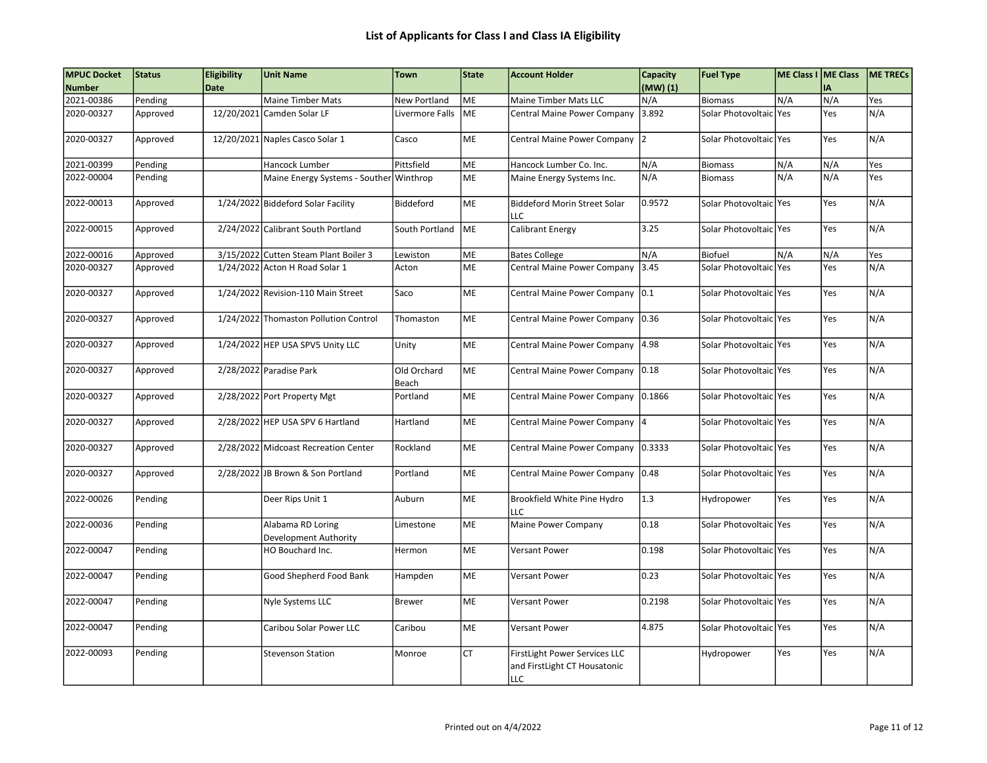| <b>MPUC Docket</b> | <b>Status</b> | <b>Eligibility</b> | <b>Unit Name</b>                           | <b>Town</b>          | State     | <b>Account Holder</b>                                                       | Capacity | <b>Fuel Type</b>         | ME Class I   ME Class |     | <b>ME TRECS</b> |
|--------------------|---------------|--------------------|--------------------------------------------|----------------------|-----------|-----------------------------------------------------------------------------|----------|--------------------------|-----------------------|-----|-----------------|
| <b>Number</b>      |               | <b>Date</b>        |                                            |                      |           |                                                                             | (MW)(1)  |                          |                       | I٨  |                 |
| 2021-00386         | Pending       |                    | <b>Maine Timber Mats</b>                   | <b>New Portland</b>  | ME        | Maine Timber Mats LLC                                                       | N/A      | <b>Biomass</b>           | N/A                   | N/A | Yes             |
| 2020-00327         | Approved      | 12/20/2021         | Camden Solar LF                            | Livermore Falls      | ME        | Central Maine Power Company                                                 | 3.892    | Solar Photovoltaic       | l Yes                 | Yes | N/A             |
| 2020-00327         | Approved      |                    | 12/20/2021 Naples Casco Solar 1            | Casco                | ME        | Central Maine Power Company 2                                               |          | Solar Photovoltaic Yes   |                       | Yes | N/A             |
| 2021-00399         | Pending       |                    | Hancock Lumber                             | Pittsfield           | ME        | Hancock Lumber Co. Inc.                                                     | N/A      | <b>Biomass</b>           | N/A                   | N/A | Yes             |
| 2022-00004         | Pending       |                    | Maine Energy Systems - Souther Winthrop    |                      | ME        | Maine Energy Systems Inc.                                                   | N/A      | <b>Biomass</b>           | N/A                   | N/A | Yes             |
| 2022-00013         | Approved      |                    | 1/24/2022 Biddeford Solar Facility         | Biddeford            | <b>ME</b> | <b>Biddeford Morin Street Solar</b><br>LLC                                  | 0.9572   | Solar Photovoltaic   Yes |                       | Yes | N/A             |
| 2022-00015         | Approved      |                    | 2/24/2022 Calibrant South Portland         | South Portland       | ME        | Calibrant Energy                                                            | 3.25     | Solar Photovoltaic Yes   |                       | Yes | N/A             |
| 2022-00016         | Approved      |                    | 3/15/2022 Cutten Steam Plant Boiler 3      | Lewiston             | ME        | <b>Bates College</b>                                                        | N/A      | Biofuel                  | N/A                   | N/A | Yes             |
| 2020-00327         | Approved      |                    | 1/24/2022 Acton H Road Solar 1             | Acton                | <b>ME</b> | Central Maine Power Company                                                 | 3.45     | Solar Photovoltaic Yes   |                       | Yes | N/A             |
| 2020-00327         | Approved      |                    | 1/24/2022 Revision-110 Main Street         | Saco                 | ME        | Central Maine Power Company                                                 | 0.1      | Solar Photovoltaic Yes   |                       | Yes | N/A             |
| 2020-00327         | Approved      |                    | 1/24/2022 Thomaston Pollution Control      | Thomaston            | ME        | Central Maine Power Company                                                 | 0.36     | Solar Photovoltaic Yes   |                       | Yes | N/A             |
| 2020-00327         | Approved      |                    | 1/24/2022 HEP USA SPV5 Unity LLC           | Unity                | ME        | Central Maine Power Company                                                 | 4.98     | Solar Photovoltaic Yes   |                       | Yes | N/A             |
| 2020-00327         | Approved      |                    | 2/28/2022 Paradise Park                    | Old Orchard<br>Beach | ME        | Central Maine Power Company 0.18                                            |          | Solar Photovoltaic Yes   |                       | Yes | N/A             |
| 2020-00327         | Approved      |                    | 2/28/2022 Port Property Mgt                | Portland             | ME        | Central Maine Power Company                                                 | 0.1866   | Solar Photovoltaic Yes   |                       | Yes | N/A             |
| 2020-00327         | Approved      |                    | 2/28/2022 HEP USA SPV 6 Hartland           | Hartland             | ME        | Central Maine Power Company 4                                               |          | Solar Photovoltaic Yes   |                       | Yes | N/A             |
| 2020-00327         | Approved      |                    | 2/28/2022 Midcoast Recreation Center       | Rockland             | ME        | Central Maine Power Company                                                 | 0.3333   | Solar Photovoltaic   Yes |                       | Yes | N/A             |
| 2020-00327         | Approved      |                    | 2/28/2022 JB Brown & Son Portland          | Portland             | ME        | Central Maine Power Company                                                 | 0.48     | Solar Photovoltaic Yes   |                       | Yes | N/A             |
| 2022-00026         | Pending       |                    | Deer Rips Unit 1                           | Auburn               | ME        | Brookfield White Pine Hydro<br>LLC                                          | 1.3      | Hydropower               | Yes                   | Yes | N/A             |
| 2022-00036         | Pending       |                    | Alabama RD Loring<br>Development Authority | Limestone            | ME        | Maine Power Company                                                         | 0.18     | Solar Photovoltaic Yes   |                       | Yes | N/A             |
| 2022-00047         | Pending       |                    | HO Bouchard Inc.                           | Hermon               | ME        | <b>Versant Power</b>                                                        | 0.198    | Solar Photovoltaic Yes   |                       | Yes | N/A             |
| 2022-00047         | Pending       |                    | Good Shepherd Food Bank                    | Hampden              | ME        | <b>Versant Power</b>                                                        | 0.23     | Solar Photovoltaic Yes   |                       | Yes | N/A             |
| 2022-00047         | Pending       |                    | Nyle Systems LLC                           | Brewer               | ME        | <b>Versant Power</b>                                                        | 0.2198   | Solar Photovoltaic Yes   |                       | Yes | N/A             |
| 2022-00047         | Pending       |                    | Caribou Solar Power LLC                    | Caribou              | ME        | <b>Versant Power</b>                                                        | 4.875    | Solar Photovoltaic Yes   |                       | Yes | N/A             |
| 2022-00093         | Pending       |                    | <b>Stevenson Station</b>                   | Monroe               | <b>CT</b> | FirstLight Power Services LLC<br>and FirstLight CT Housatonic<br><b>LLC</b> |          | Hydropower               | Yes                   | Yes | N/A             |